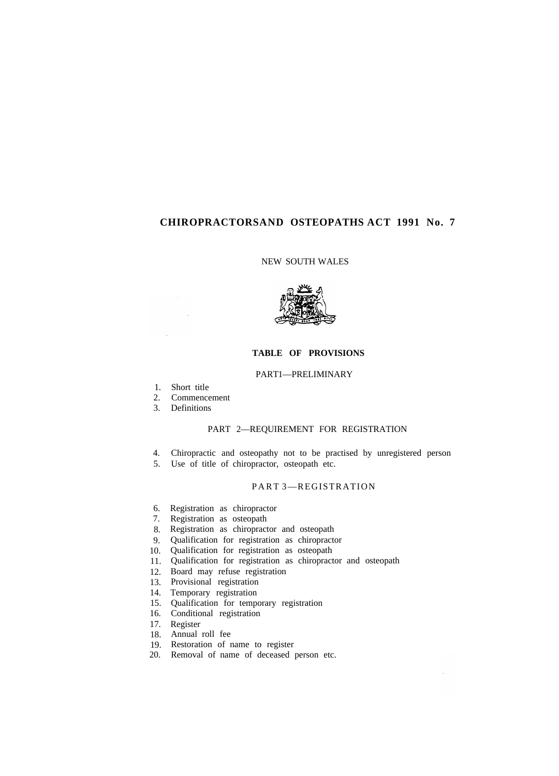# **CHIROPRACTORS AND OSTEOPATHS ACT 1991 No. 7**

### NEW SOUTH WALES



# **TABLE OF PROVISIONS**

### PART1-PRELIMINARY

- 1. Short title
- 2. Commencement
- 3. Definitions

# PART 2—REQUIREMENT FOR REGISTRATION

- 4. Chiropractic and osteopathy not to be practised by unregistered person
- 5. Use of title of chiropractor, osteopath etc.

# PART 3—REGISTRATION

- 6. Registration as chiropractor
- 7. Registration as osteopath
- 8. Registration as chiropractor and osteopath
- 9. Qualification for registration as chiropractor
- 10. Qualification for registration as osteopath
- 11. Qualification for registration as chiropractor and osteopath
- 12. Board may refuse registration
- 13. Provisional registration
- 14. Temporary registration
- 15. Qualification for temporary registration
- 16. Conditional registration
- 17. Register
- 18. Annual roll fee
- 19. Restoration of name to register
- 20. Removal of name of deceased person etc.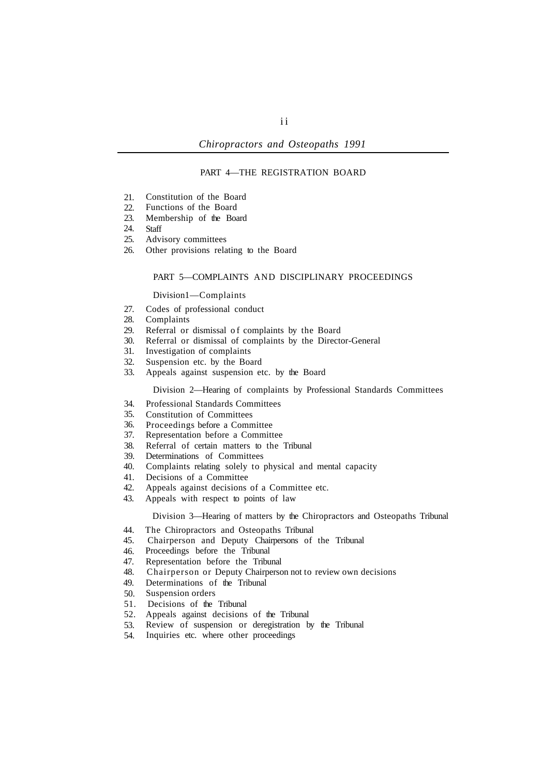### PART 4—THE REGISTRATION BOARD

- 21. Constitution of the Board
- 22. Functions of the Board
- 23. Membership of the Board
- 24. **Staff**
- 25. Advisory committees
- 26. Other provisions relating to the Board

#### PART 5—COMPLAINTS AND DISCIPLINARY PROCEEDINGS

#### Division1-Complaints

- 27. Codes of professional conduct
- 28. Complaints
- 29. Referral or dismissal of complaints by the Board
- 30. Referral or dismissal of complaints by the Director-General
- 31. Investigation of complaints
- 32. Suspension etc. by the Board
- 33. Appeals against suspension etc. by the Board

#### Division 2—Hearing of complaints by Professional Standards Committees

- 34. Professional Standards Committees
- 35. Constitution of Committees
- 36. Proceedings before a Committee
- 37. Representation before a Committee
- 38. Referral of certain matters to the Tribunal
- 39. Determinations of Committees
- 40. Complaints relating solely to physical and mental capacity
- 41. Decisions of a Committee
- 42. Appeals against decisions of a Committee etc.
- 43. Appeals with respect to points of law

Division 3—Hearing of matters by the Chiropractors and Osteopaths Tribunal

- 44. The Chiropractors and Osteopaths Tribunal
- 45. Chairperson and Deputy Chairpersons of the Tribunal
- 46. Proceedings before the Tribunal
- 47. Representation before the Tribunal
- 48. Chairperson or Deputy Chairperson not to review own decisions
- 49. Determinations of the Tribunal
- 50. Suspension orders
- 51. Decisions of the Tribunal
- 52. Appeals against decisions of the Tribunal
- 53. Review of suspension or deregistration by the Tribunal
- 54. Inquiries etc. where other proceedings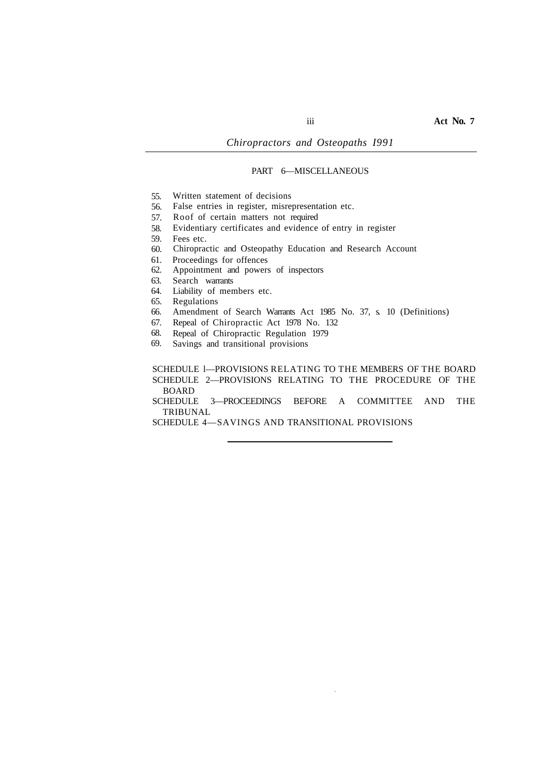# PART 6—MISCELLANEOUS

- 55. Written statement of decisions
- 56. False entries in register, misrepresentation etc.
- 57. Roof of certain matters not required
- 58. Evidentiary certificates and evidence of entry in register
- 59. Fees etc.
- 60. Chiropractic and Osteopathy Education and Research Account
- 61. Proceedings for offences
- 62. Appointment and powers of inspectors
- 63. Search warrants
- 64. Liability of members etc.
- 65. Regulations
- 66. Amendment of Search Warrants Act 1985 No. 37, s. 10 (Definitions)
- 67. Repeal of Chiropractic Act 1978 No. 132
- 68. Repeal of Chiropractic Regulation 1979
- 69. Savings and transitional provisions

SCHEDULE l—PROVISIONS RELATING TO THE MEMBERS OF THE BOARD SCHEDULE 2—PROVISIONS RELATING TO THE PROCEDURE OF THE BOARD

TRIBUNAL SCHEDULE 3—PROCEEDINGS BEFORE A COMMITTEE AND THE

SCHEDULE 4—SAVINGS AND TRANSlTIONAL PROVISIONS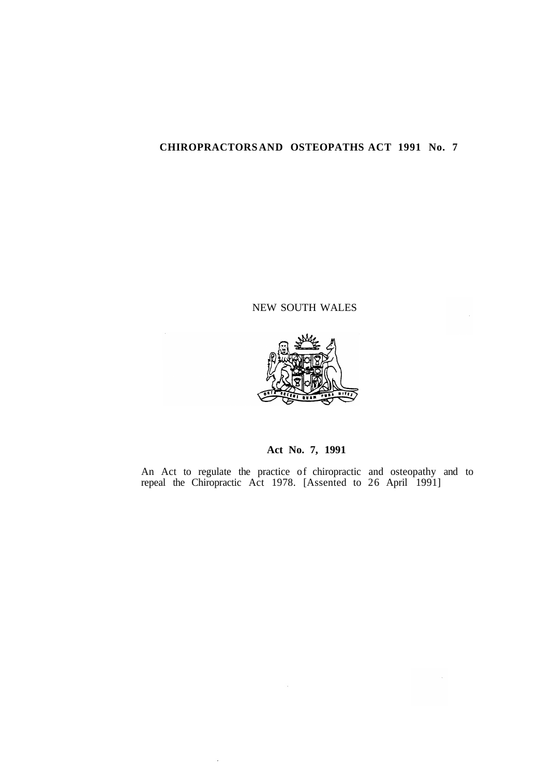# **CHIROPRACTORS AND OSTEOPATHS ACT 1991 No. 7**

# NEW SOUTH WALES



# **Act No. 7, 1991**

An Act to regulate the practice of chiropractic and osteopathy and to repeal the Chiropractic Act 1978. [Assented to 26 April 1991]

 $\ddot{\phantom{a}}$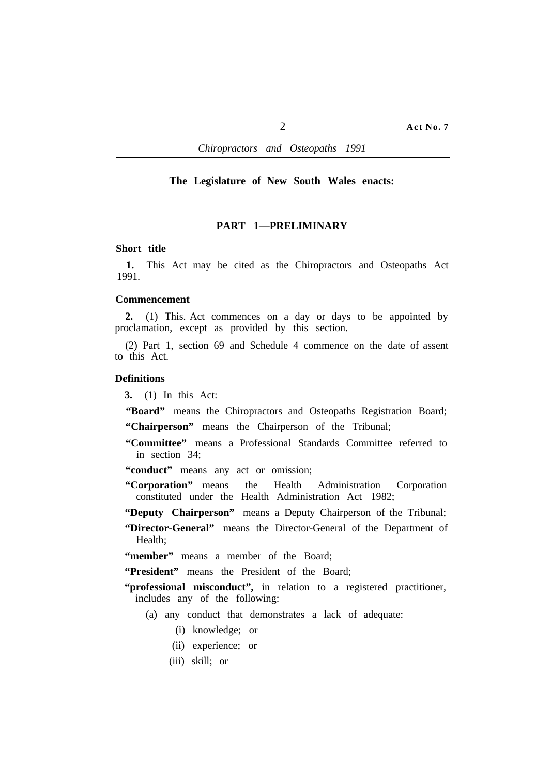### **The Legislature of New South Wales enacts:**

# **PART 1—PRELIMINARY**

### **Short title**

**1.** This Act may be cited as the Chiropractors and Osteopaths Act 1991.

# **Commencement**

**2.** (1) This. Act commences on a day or days to be appointed by proclamation, except as provided by this section.

(2) Part 1, section 69 and Schedule 4 commence on the date of assent to this Act.

# **Definitions**

**3.** (1) In this Act:

**"Board"** means the Chiropractors and Osteopaths Registration Board;

**"Chairperson"** means the Chairperson of the Tribunal;

**"Committee"** means a Professional Standards Committee referred to in section 34;

"conduct" means any act or omission;

- **"Corporation"** means the Health Administration Corporation constituted under the Health Administration Act 1982;
- **"Deputy Chairperson"** means a Deputy Chairperson of the Tribunal;
- **"Director-General"** means the Director-General of the Department of Health;

**"member"** means a member of the Board;

**"President"** means the President of the Board;

- "**professional misconduct"**, in relation to a registered practitioner, includes any of the following:
	- (a) any conduct that demonstrates a lack of adequate:
		- (i) knowledge; or
		- (ii) experience; or
		- (iii) skill; or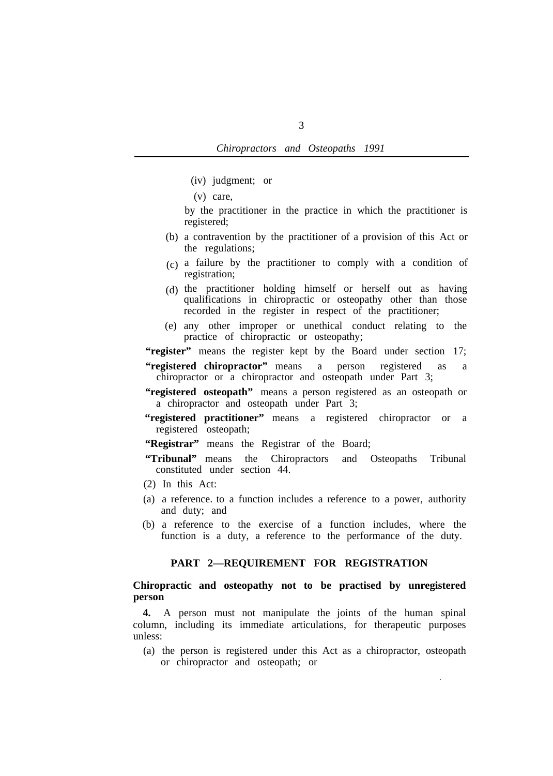- (iv) judgment; or
- (v) care,

by the practitioner in the practice in which the practitioner is registered;

- (b) a contravention by the practitioner of a provision of this Act or the regulations;
- $(c)$  a failure by the practitioner to comply with a condition of registration;
- (d) the practitioner holding himself or herself out as having qualifications in chiropractic or osteopathy other than those recorded in the register in respect of the practitioner;
- any other improper or unethical conduct relating to the (e) practice of chiropractic or osteopathy;

**"register"** means the register kept by the Board under section 17;

- **"registered chiropractor"** means a person registered as a chiropractor or a chiropractor and osteopath under Part 3;
- "registered osteopath" means a person registered as an osteopath or a chiropractor and osteopath under Part 3;
- **"registered practitioner"** means a registered chiropractor or a registered osteopath;

"Registrar" means the Registrar of the Board;

- **"Tribunal"** means the Chiropractors and Osteopaths Tribunal constituted under section 44.
- (2) In this Act:
- (a) a reference. to a function includes a reference to a power, authority and duty; and
- (b) a reference to the exercise of a function includes, where the function is a duty, a reference to the performance of the duty.

# **PART 2—REQUIREMENT FOR REGISTRATION**

# **Chiropractic and osteopathy not to be practised by unregistered person**

**4.** A person must not manipulate the joints of the human spinal column, including its immediate articulations, for therapeutic purposes unless:

(a) the person is registered under this Act as a chiropractor, osteopath or chiropractor and osteopath; or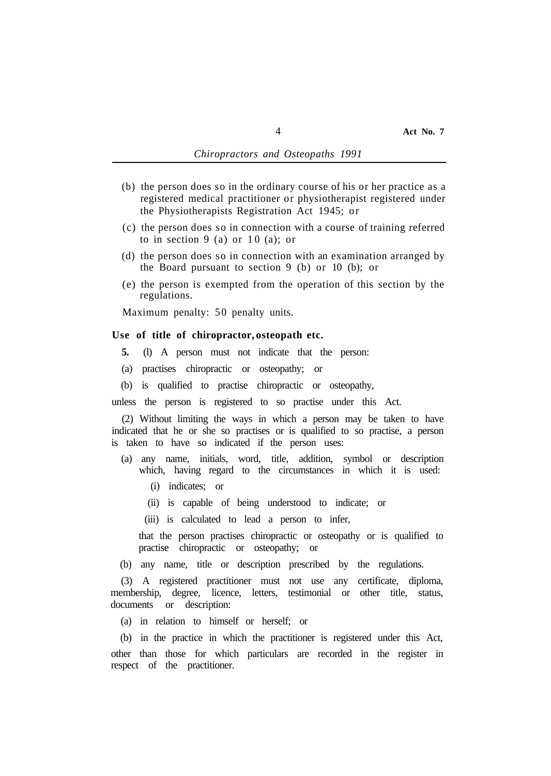- (b) the person does so in the ordinary course of his or her practice as a registered medical practitioner or physiotherapist registered under the Physiotherapists Registration Act 1945; or
- (c) the person does so in connection with a course of training referred to in section  $9$  (a) or  $10$  (a); or
- (d) the person does so in connection with an examination arranged by the Board pursuant to section 9 (b) or 10 (b); or
- (e) the person is exempted from the operation of this section by the regulations.

Maximum penalty: 50 penalty units.

#### **Use of title of chiropractor, osteopath etc.**

- **5.** (l) A person must not indicate that the person:
- (a) practises chiropractic or osteopathy; or
- (b) is qualified to practise chiropractic or osteopathy,

unless the person is registered to so practise under this Act.

(2) Without limiting the ways in which a person may be taken to have indicated that he or she so practises or is qualified to so practise, a person is taken to have so indicated if the person uses:

- (a) any name, initials, word, title, addition, symbol or description which, having regard to the circumstances in which it is used:
	- (i) indicates; or
	- (ii) is capable of being understood to indicate; or
	- (iii) is calculated to lead a person to infer,

that the person practises chiropractic or osteopathy or is qualified to practise chiropractic or osteopathy; or

(b) any name, title or description prescribed by the regulations.

(3) A registered practitioner must not use any certificate, diploma, membership, degree, licence, letters, testimonial or other title, status, documents or description:

(a) in relation to himself or herself; or

(b) in the practice in which the practitioner is registered under this Act, other than those for which particulars are recorded in the register in respect of the practitioner.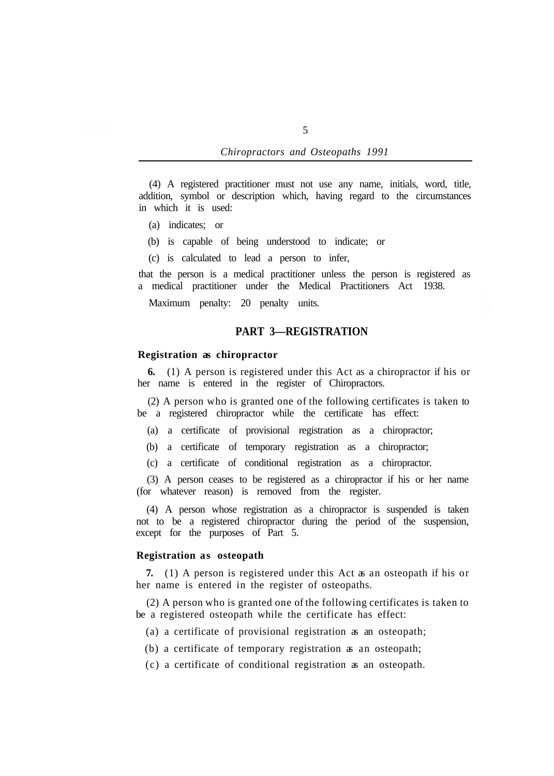(4) A registered practitioner must not use any name, initials, word, title, addition, symbol or description which, having regard to the circumstances in which it is used:

- (a) indicates; or
- (b) is capable of being understood to indicate; or
- (c) is calculated to lead a person to infer,

that the person is a medical practitioner unless the person is registered as a medical practitioner under the Medical Practitioners Act 1938.

Maximum penalty: 20 penalty units.

# **PART 3—REGISTRATION**

### **Registration as chiropractor**

her name is entered in the register of Chiropractors. **6.** (1) A person is registered under this Act as a chiropractor if his or

be a registered chiropractor while the certificate has effect: (2) A person who is granted one of the following certificates is taken to

(a) a certificate of provisional registration as a chiropractor;

(b) a certificate of temporary registration as a chiropractor;

(c) a certificate of conditional registration as a chiropractor.

(3) A person ceases to be registered as a chiropractor if his or her name (for whatever reason) is removed from the register.

(4) A person whose registration as a chiropractor is suspended is taken not to be a registered chiropractor during the period of the suspension, except for the purposes of Part 5.

# **Registration as osteopath**

her name is entered in the register of osteopaths. **7.** (1) A person is registered under this Act as an osteopath if his or

be a registered osteopath while the certificate has effect: (2) A person who is granted one of the following certificates is taken to

- (a) a certificate of provisional registration as an osteopath;
- (b) a certificate of temporary registration as an osteopath;
- (c) a certificate of conditional registration as an osteopath.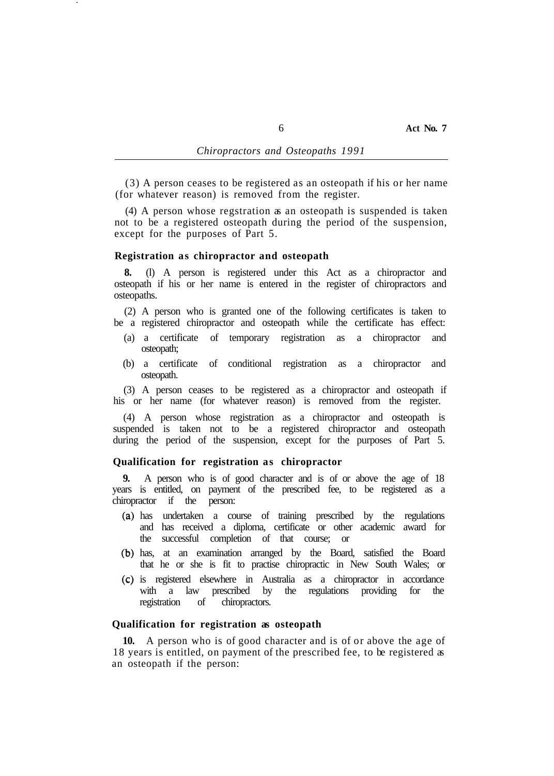(3) A person ceases to be registered as an osteopath if his or her name (for whatever reason) is removed from the register.

(4) A person whose regstration as an osteopath is suspended is taken not to be a registered osteopath during the period of the suspension, except for the purposes of Part 5.

#### **Registration as chiropractor and osteopath**

**8.** (l) A person is registered under this Act as a chiropractor and osteopath if his or her name is entered in the register of chiropractors and osteopaths.

(2) A person who is granted one of the following certificates is taken to be a registered chiropractor and osteopath while the certificate has effect:

- (a) a certificate of temporary registration as a chiropractor and osteopath;
- (b) a certificate of conditional registration as a chiropractor and osteopath.

(3) A person ceases to be registered as a chiropractor and osteopath if his or her name (for whatever reason) is removed from the register.

(4) A person whose registration as a chiropractor and osteopath is suspended is taken not to be a registered chiropractor and osteopath during the period of the suspension, except for the purposes of Part 5.

### **Qualification for registration as chiropractor**

**9.** A person who is of good character and is of or above the age of 18 years is entitled, on payment of the prescribed fee, to be registered as a chiropractor if the person:

- has undertaken a course of training prescribed by the regulations and has received a diploma, certificate or other academic award for the successful completion of that course; or
- has, at an examination arranged by the Board, satisfied the Board that he or she is fit to practise chiropractic in New South Wales; or
- is registered elsewhere in Australia as a chiropractor in accordance prescribed by the regulations providing for the registration of chiropractors.

### **Qualification for registration as osteopath**

**10.** A person who is of good character and is of or above the age of 18 years is entitled, on payment of the prescribed fee, to be registered as an osteopath if the person: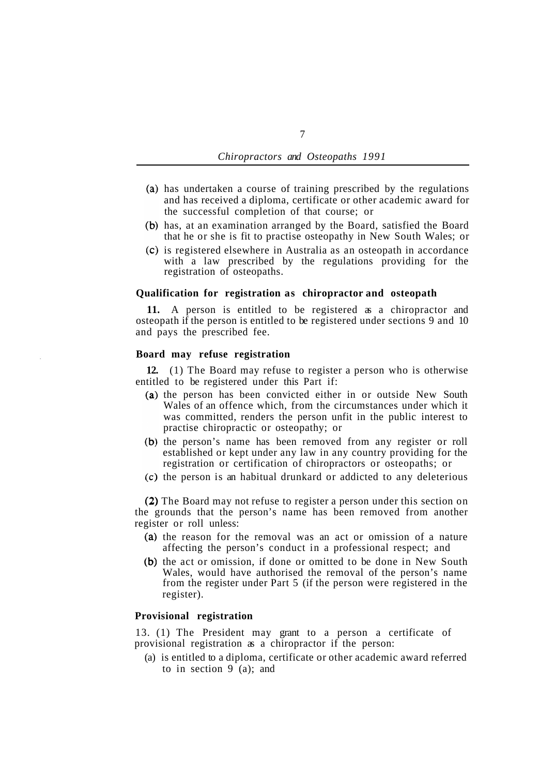- (a) has undertaken a course of training prescribed by the regulations and has received a diploma, certificate or other academic award for the successful completion of that course; or
- (b) has, at an examination arranged by the Board, satisfied the Board that he or she is fit to practise osteopathy in New South Wales; or
- is registered elsewhere in Australia as an osteopath in accordance with a law prescribed by the regulations providing for the registration of osteopaths.

### **Qualification for registration as chiropractor and osteopath**

**11.** A person is entitled to be registered as a chiropractor and osteopath if the person is entitled to be registered under sections 9 and 10 and pays the prescribed fee.

### **Board may refuse registration**

entitled to be registered under this Part if: **12.** (1) The Board may refuse to register a person who is otherwise

- (a) the person has been convicted either in or outside New South Wales of an offence which, from the circumstances under which it was committed, renders the person unfit in the public interest to practise chiropractic or osteopathy; or
- (b) the person's name has been removed from any register or roll established or kept under any law in any country providing for the registration or certification of chiropractors or osteopaths; or
- $(c)$  the person is an habitual drunkard or addicted to any deleterious

(2) The Board may not refuse to register a person under this section on the grounds that the person's name has been removed from another register or roll unless:

- (a) the reason for the removal was an act or omission of a nature affecting the person's conduct in a professional respect; and
- (b) the act or omission, if done or omitted to be done in New South Wales, would have authorised the removal of the person's name from the register under Part 5 (if the person were registered in the register).

# **Provisional registration**

provisional registration as a chiropractor if the person: 13. (1) The President may grant to a person a certificate of

(a) is entitled to a diploma, certificate or other academic award referred to in section  $9^{\circ}$  (a); and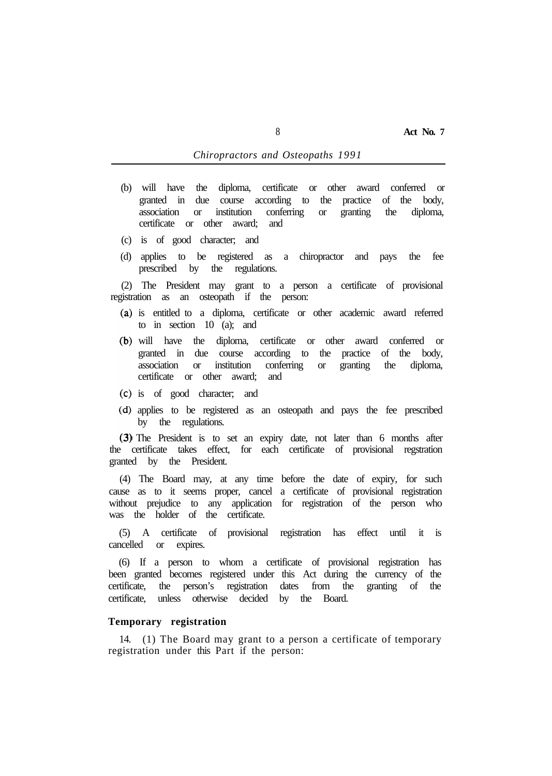- (b) will have the diploma, certificate or other award conferred or granted in due course according to the practice of the body, association or institution conferring or granting the diploma, certificate or other award; and
- (c) is of good character; and
- (d) applies to be registered as a chiropractor and pays the fee prescribed by the regulations.

(2) The President may grant to a person a certificate of provisional registration as an osteopath if the person:

- is entitled to a diploma, certificate or other academic award referred to in section 10 (a); and
- will have the diploma, certificate or other award conferred or granted in due course according to the practice of the body, association or institution conferring or granting the diploma, certificate or other award; and
- is of good character; and
- applies to be registered as an osteopath and pays the fee prescribed by the regulations.

(3) The President is to set an expiry date, not later than 6 months after the certificate takes effect, for each certificate of provisional regstration granted by the President.

(4) The Board may, at any time before the date of expiry, for such cause as to it seems proper, cancel a certificate of provisional registration without prejudice to any application for registration of the person who was the holder of the certificate.

(5) A certificate of provisional registration has effect until it is cancelled or expires.

(6) If a person to whom a certificate of provisional registration has been granted becomes registered under this Act during the currency of the certificate, the person's registration dates from the granting of the certificate, unless otherwise decided by the Board.

# **Temporary registration**

registration under this Part if the person: 14. (1) The Board may grant to a person a certificate of temporary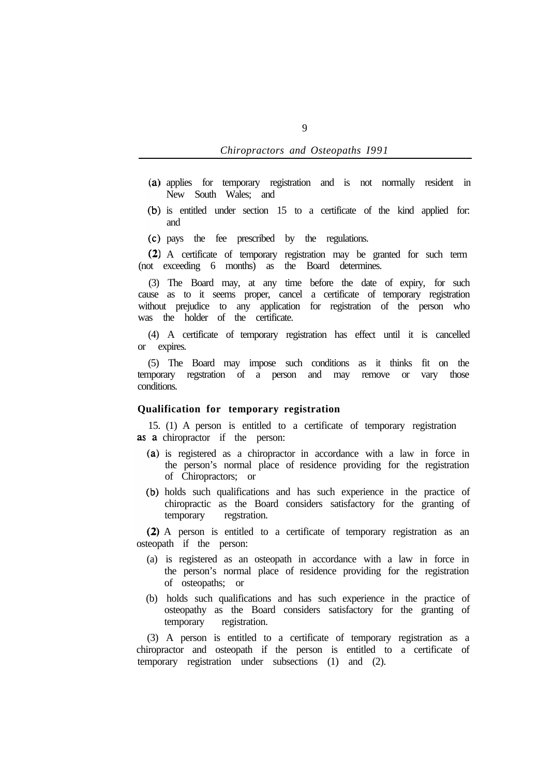- applies for temporary registration and is not normally resident in New South Wales; and
- (b) is entitled under section 15 to a certificate of the kind applied for: and
- pays the fee prescribed by the regulations.

A certificate of temporary registration may be granted for such term (not exceeding 6 months) as the Board determines.

(3) The Board may, at any time before the date of expiry, for such cause as to it seems proper, cancel a certificate of temporary registration without prejudice to any application for registration of the person who was the holder of the certificate.

(4) A certificate of temporary registration has effect until it is cancelled or expires.

(5) The Board may impose such conditions as it thinks fit on the temporary regstration of a person and may remove or vary those conditions.

## **Qualification for temporary registration**

15. (1) A person is entitled to a certificate of temporary registration as a chiropractor if the person:

- (a) is registered as a chiropractor in accordance with a law in force in the person's normal place of residence providing for the registration of Chiropractors; or
- (b) holds such qualifications and has such experience in the practice of chiropractic as the Board considers satisfactory for the granting of temporary regstration.

A person is entitled to a certificate of temporary registration as an osteopath if the person:

- (a) is registered as an osteopath in accordance with a law in force in the person's normal place of residence providing for the registration of osteopaths; or
- (b) holds such qualifications and has such experience in the practice of osteopathy as the Board considers satisfactory for the granting of temporary registration.

(3) A person is entitled to a certificate of temporary registration as a chiropractor and osteopath if the person is entitled to a certificate of temporary registration under subsections (1) and (2).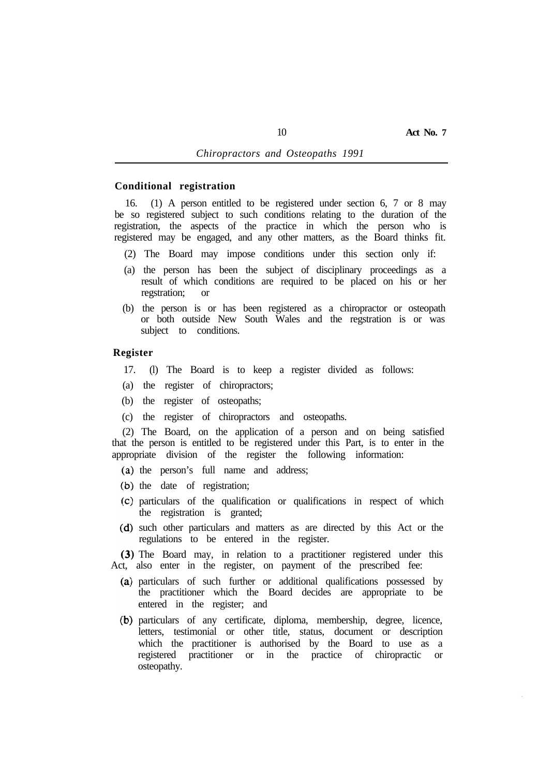# **Conditional registration**

16. (1) A person entitled to be registered under section 6, 7 or 8 may be so registered subject to such conditions relating to the duration of the registration, the aspects of the practice in which the person who is registered may be engaged, and any other matters, as the Board thinks fit.

- (2) The Board may impose conditions under this section only if:
- (a) the person has been the subject of disciplinary proceedings as a result of which conditions are required to be placed on his or her regstration; or
- (b) the person is or has been registered as a chiropractor or osteopath or both outside New South Wales and the regstration is or was subject to conditions.

### **Register**

- 17. (l) The Board is to keep a register divided as follows:
- (a) the register of chiropractors;
- (b) the register of osteopaths;
- (c) the register of chiropractors and osteopaths.

(2) The Board, on the application of a person and on being satisfied that the person is entitled to be registered under this Part, is to enter in the appropriate division of the register the following information:

- (a) the person's full name and address;
- $(b)$  the date of registration;
- particulars of the qualification or qualifications in respect of which the registration is granted;
- (d) such other particulars and matters as are directed by this Act or the regulations to be entered in the register.

(3) The Board may, in relation to a practitioner registered under this Act, also enter in the register, on payment of the prescribed fee:

- particulars of such further or additional qualifications possessed by the practitioner which the Board decides are appropriate to be entered in the register; and
- (b) particulars of any certificate, diploma, membership, degree, licence, letters, testimonial or other title, status, document or description which the practitioner is authorised by the Board to use as a registered practitioner or in the practice of chiropractic or osteopathy.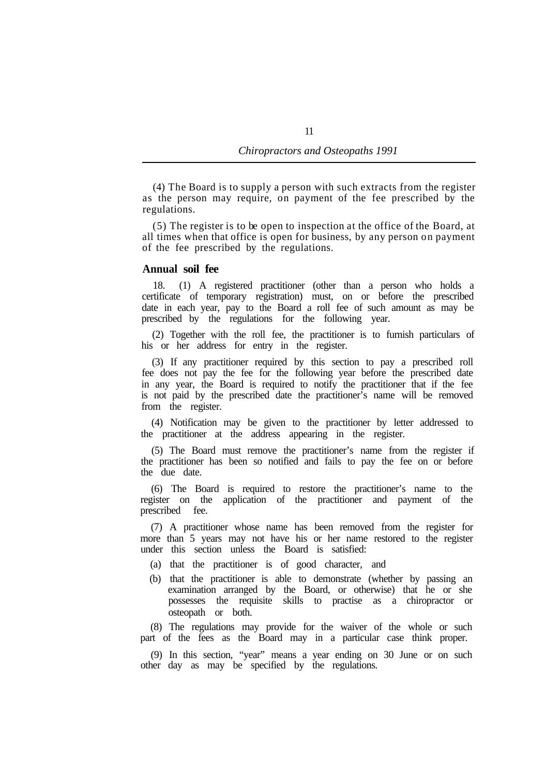(4) The Board is to supply a person with such extracts from the register as the person may require, on payment of the fee prescribed by the regulations.

(5) The register is to be open to inspection at the office of the Board, at all times when that office is open for business, by any person on payment of the fee prescribed by the regulations.

### **Annual soil fee**

18. (1) A registered practitioner (other than a person who holds a certificate of temporary registration) must, on or before the prescribed date in each year, pay to the Board a roll fee of such amount as may be prescribed by the regulations for the following year.

(2) Together with the roll fee, the practitioner is to furnish particulars of his or her address for entry in the register.

(3) If any practitioner required by this section to pay a prescribed roll fee does not pay the fee for the following year before the prescribed date in any year, the Board is required to notify the practitioner that if the fee is not paid by the prescribed date the practitioner's name will be removed from the register.

(4) Notification may be given to the practitioner by letter addressed to the practitioner at the address appearing in the register.

(5) The Board must remove the practitioner's name from the register if the practitioner has been so notified and fails to pay the fee on or before the due date.

(6) The Board is required to restore the practitioner's name to the register on the application of the practitioner and payment of the prescribed fee.

(7) A practitioner whose name has been removed from the register for more than 5 years may not have his or her name restored to the register under this section unless the Board is satisfied:

- (a) that the practitioner is of good character, and
- (b) that the practitioner is able to demonstrate (whether by passing an examination arranged by the Board, or otherwise) that he or she possesses the requisite skills to practise as a chiropractor or osteopath or both.

(8) The regulations may provide for the waiver of the whole or such part of the fees as the Board may in a particular case think proper.

(9) In this section, "year" means a year ending on 30 June or on such other day as may be specified by the regulations.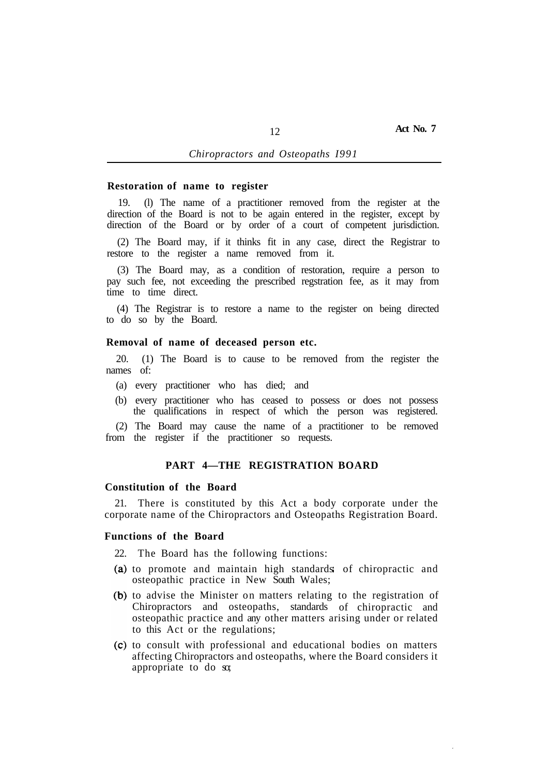#### **Restoration of name to register**

19. (l) The name of a practitioner removed from the register at the direction of the Board is not to be again entered in the register, except by direction of the Board or by order of a court of competent jurisdiction.

(2) The Board may, if it thinks fit in any case, direct the Registrar to restore to the register a name removed from it.

(3) The Board may, as a condition of restoration, require a person to pay such fee, not exceeding the prescribed regstration fee, as it may from time to time direct.

(4) The Registrar is to restore a name to the register on being directed to do so by the Board.

#### **Removal of name of deceased person etc.**

names of: 20. (1) The Board is to cause to be removed from the register the

- (a) every practitioner who has died; and
- (b) every practitioner who has ceased to possess or does not possess the qualifications in respect of which the person was registered.

(2) The Board may cause the name of a practitioner to be removed from the register if the practitioner so requests.

# **PART 4—THE REGISTRATION BOARD**

### **Constitution of the Board**

21. There is constituted by this Act a body corporate under the corporate name of the Chiropractors and Osteopaths Registration Board.

# **Functions of the Board**

22. The Board has the following functions:

- to promote and maintain high standards of chiropractic and osteopathic practice in New South Wales;
- to advise the Minister on matters relating to the registration of Chiropractors and osteopaths, standards of chiropractic and osteopathic practice and any other matters arising under or related to this Act or the regulations;
- (c) to consult with professional and educational bodies on matters affecting Chiropractors and osteopaths, where the Board considers it appropriate to do so;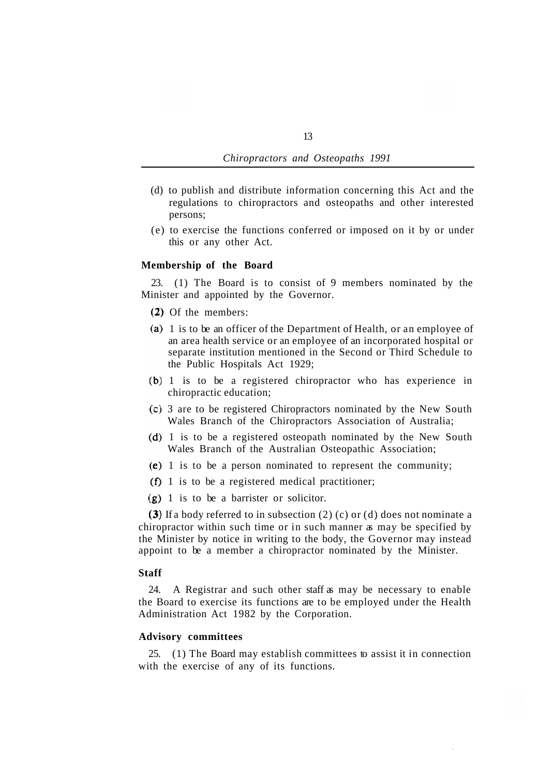- (d) to publish and distribute information concerning this Act and the regulations to chiropractors and osteopaths and other interested persons;
- (e) to exercise the functions conferred or imposed on it by or under this or any other Act.

## **Membership of the Board**

Minister and appointed by the Governor. 23. (1) The Board is to consist of 9 members nominated by the

- (2) Of the members:
- (a) 1 is to be an officer of the Department of Health, or an employee of an area health service or an employee of an incorporated hospital or separate institution mentioned in the Second or Third Schedule to the Public Hospitals Act 1929;
- 1 is to be a registered chiropractor who has experience in chiropractic education;
- 3 are to be registered Chiropractors nominated by the New South Wales Branch of the Chiropractors Association of Australia;
- (d) 1 is to be a registered osteopath nominated by the New South Wales Branch of the Australian Osteopathic Association;
- (e) 1 is to be a person nominated to represent the community;
- $(f)$  1 is to be a registered medical practitioner;
- $(g)$  1 is to be a barrister or solicitor.

(3) If a body referred to in subsection (2) (c) or (d) does not nominate a chiropractor within such time or in such manner as may be specified by the Minister by notice in writing to the body, the Governor may instead appoint to be a member a chiropractor nominated by the Minister.

#### **Staff**

24. A Registrar and such other staff as may be necessary to enable the Board to exercise its functions are to be employed under the Health Administration Act 1982 by the Corporation.

# **Advisory committees**

with the exercise of any of its functions. 25. (1) The Board may establish committees to assist it in connection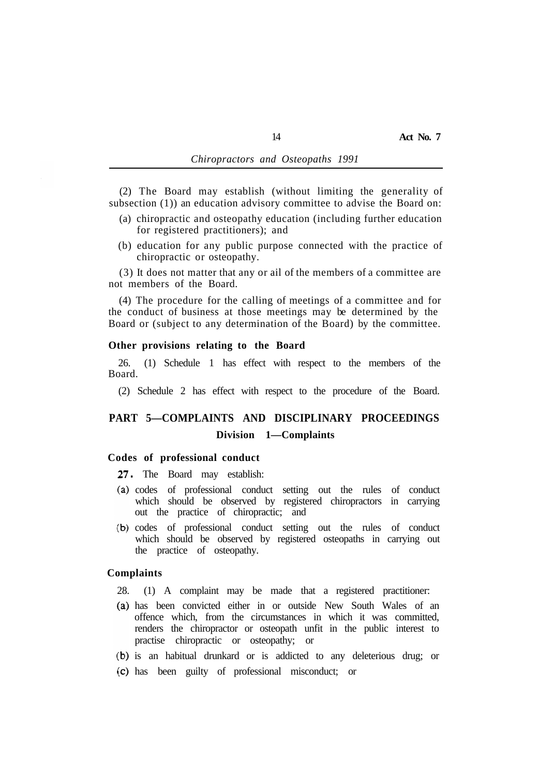(2) The Board may establish (without limiting the generality of subsection (1)) an education advisory committee to advise the Board on:

- (a) chiropractic and osteopathy education (including further education for registered practitioners); and
- (b) education for any public purpose connected with the practice of chiropractic or osteopathy.

(3) It does not matter that any or ail of the members of a committee are not members of the Board.

(4) The procedure for the calling of meetings of a committee and for the conduct of business at those meetings may be determined by the Board or (subject to any determination of the Board) by the committee.

#### **Other provisions relating to the Board**

Board. 26. (1) Schedule 1 has effect with respect to the members of the

(2) Schedule 2 has effect with respect to the procedure of the Board.

# **PART 5—COMPLAINTS AND DISCIPLINARY PROCEEDINGS Division 1—Complaints**

### **Codes of professional conduct**

27. The Board may establish:

- codes of professional conduct setting out the rules of conduct which should be observed by registered chiropractors in carrying out the practice of chiropractic; and
- (b) codes of professional conduct setting out the rules of conduct which should be observed by registered osteopaths in carrying out the practice of osteopathy.

### **Complaints**

- 28. (1) A complaint may be made that a registered practitioner:
- has been convicted either in or outside New South Wales of an offence which, from the circumstances in which it was committed, renders the chiropractor or osteopath unfit in the public interest to practise chiropractic or osteopathy; or
- (b) is an habitual drunkard or is addicted to any deleterious drug; or
- has been guilty of professional misconduct; or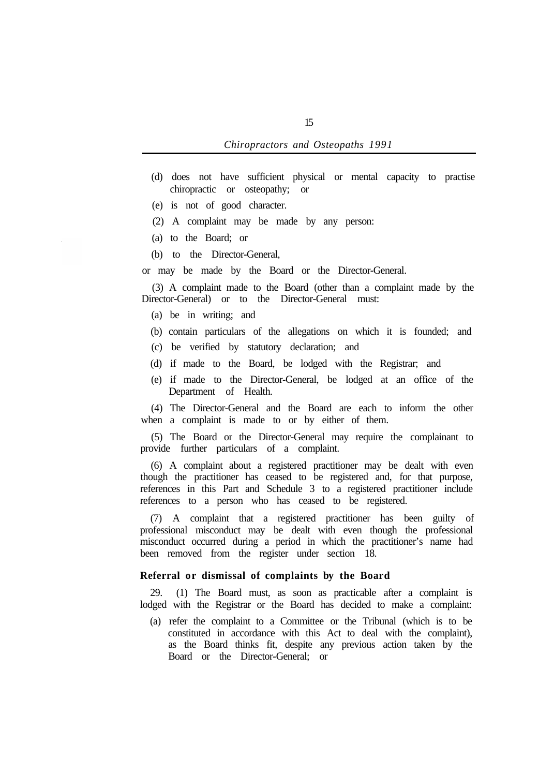- (d) does not have sufficient physical or mental capacity to practise chiropractic or osteopathy; or
- (e) is not of good character.
- (2) A complaint may be made by any person:
- (a) to the Board; or
- (b) to the Director-General,

or may be made by the Board or the Director-General.

Director-General) or to the Director-General must: (3) A complaint made to the Board (other than a complaint made by the

- (a) be in writing; and
- (b) contain particulars of the allegations on which it is founded; and
- (c) be verified by statutory declaration; and
- (d) if made to the Board, be lodged with the Registrar; and
- (e) if made to the Director-General, be lodged at an office of the Department of Health.

(4) The Director-General and the Board are each to inform the other when a complaint is made to or by either of them.

(5) The Board or the Director-General may require the complainant to provide further particulars of a complaint.

(6) A complaint about a registered practitioner may be dealt with even though the practitioner has ceased to be registered and, for that purpose, references in this Part and Schedule 3 to a registered practitioner include references to a person who has ceased to be registered.

(7) A complaint that a registered practitioner has been guilty of professional misconduct may be dealt with even though the professional misconduct occurred during a period in which the practitioner's name had been removed from the register under section 18.

# **Referral or dismissal of complaints by the Board**

29. (1) The Board must, as soon as practicable after a complaint is lodged with the Registrar or the Board has decided to make a complaint:

(a) refer the complaint to a Committee or the Tribunal (which is to be constituted in accordance with this Act to deal with the complaint), as the Board thinks fit, despite any previous action taken by the Board or the Director-General; or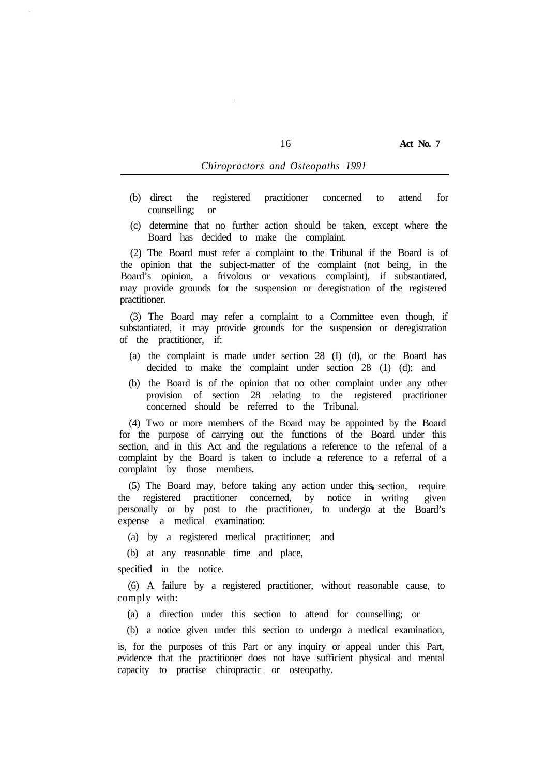- (b) direct the registered practitioner concerned to attend for counselling; or
- (c) determine that no further action should be taken, except where the Board has decided to make the complaint.

(2) The Board must refer a complaint to the Tribunal if the Board is of the opinion that the subject-matter of the complaint (not being, in the Board's opinion, a frivolous or vexatious complaint), if substantiated, may provide grounds for the suspension or deregistration of the registered practitioner.

(3) The Board may refer a complaint to a Committee even though, if substantiated, it may provide grounds for the suspension or deregistration of the practitioner, if:

- (a) the complaint is made under section 28 (I) (d), or the Board has decided to make the complaint under section 28 (1) (d); and
- (b) the Board is of the opinion that no other complaint under any other provision of section 28 relating to the registered practitioner concerned should be referred to the Tribunal.

(4) Two or more members of the Board may be appointed by the Board for the purpose of carrying out the functions of the Board under this section, and in this Act and the regulations a reference to the referral of a complaint by the Board is taken to include a reference to a referral of a complaint by those members.

(5) The Board may, before taking any action under this section, require the registered practitioner concerned, by personally or by post to the practitioner, to undergo at the Board's expense a medical examination: notice in writing given

(a) by a registered medical practitioner; and

(b) at any reasonable time and place,

specified in the notice.

(6) A failure by a registered practitioner, without reasonable cause, to comply with:

(a) a direction under this section to attend for counselling; or

(b) a notice given under this section to undergo a medical examination,

is, for the purposes of this Part or any inquiry or appeal under this Part, evidence that the practitioner does not have sufficient physical and mental capacity to practise chiropractic or osteopathy.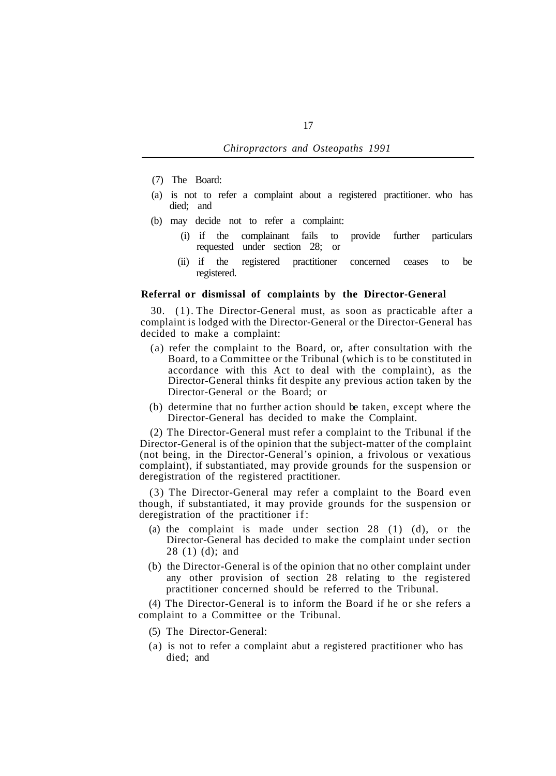- (7) The Board:
- (a) is not to refer a complaint about a registered practitioner. who has died; and
- (b) may decide not to refer a complaint:
	- requested under section 28; or (i) if the complainant fails to provide further particulars
	- registered. (ii) if the registered practitioner concerned ceases to be

## **Referral or dismissal of complaints by the Director-General**

30. (1). The Director-General must, as soon as practicable after a complaint is lodged with the Director-General or the Director-General has decided to make a complaint:

- (a) refer the complaint to the Board, or, after consultation with the Board, to a Committee or the Tribunal (which is to be constituted in accordance with this Act to deal with the complaint), as the Director-General thinks fit despite any previous action taken by the Director-General or the Board; or
- (b) determine that no further action should be taken, except where the Director-General has decided to make the Complaint.

(2) The Director-General must refer a complaint to the Tribunal if the Director-General is of the opinion that the subject-matter of the complaint (not being, in the Director-General's opinion, a frivolous or vexatious complaint), if substantiated, may provide grounds for the suspension or deregistration of the registered practitioner.

(3) The Director-General may refer a complaint to the Board even though, if substantiated, it may provide grounds for the suspension or deregistration of the practitioner if:

- (a) the complaint is made under section 28 (1) (d), or the Director-General has decided to make the complaint under section 28 (1) (d); and
- (b) the Director-General is of the opinion that no other complaint under any other provision of section 28 relating to the registered practitioner concerned should be referred to the Tribunal.

(4) The Director-General is to inform the Board if he or she refers a complaint to a Committee or the Tribunal.

- (5) The Director-General:
- (a) is not to refer a complaint abut a registered practitioner who has died; and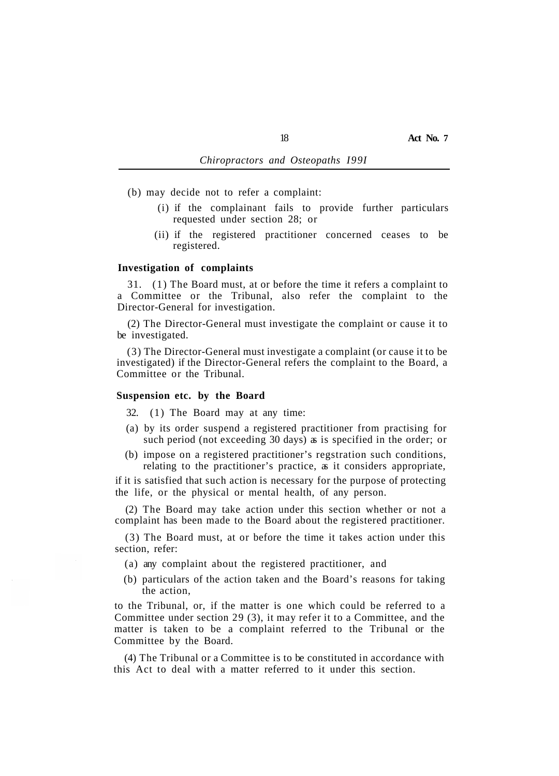(b) may decide not to refer a complaint:

- requested under section 28; or (i) if the complainant fails to provide further particulars
- registered. (ii) if the registered practitioner concerned ceases to be

#### **Investigation of complaints**

31. (1) The Board must, at or before the time it refers a complaint to a Committee or the Tribunal, also refer the complaint to the Director-General for investigation.

(2) The Director-General must investigate the complaint or cause it to be investigated.

(3) The Director-General must investigate a complaint (or cause it to be investigated) if the Director-General refers the complaint to the Board, a Committee or the Tribunal.

#### **Suspension etc. by the Board**

32. (1) The Board may at any time:

- (a) by its order suspend a registered practitioner from practising for such period (not exceeding 30 days) as is specified in the order; or
- (b) impose on a registered practitioner's regstration such conditions, relating to the practitioner's practice, as it considers appropriate,

if it is satisfied that such action is necessary for the purpose of protecting the life, or the physical or mental health, of any person.

(2) The Board may take action under this section whether or not a complaint has been made to the Board about the registered practitioner.

(3) The Board must, at or before the time it takes action under this section, refer:

(a) any complaint about the registered practitioner, and

(b) particulars of the action taken and the Board's reasons for taking the action,

to the Tribunal, or, if the matter is one which could be referred to a Committee under section 29 (3), it may refer it to a Committee, and the matter is taken to be a complaint referred to the Tribunal or the Committee by the Board.

(4) The Tribunal or a Committee is to be constituted in accordance with this Act to deal with a matter referred to it under this section.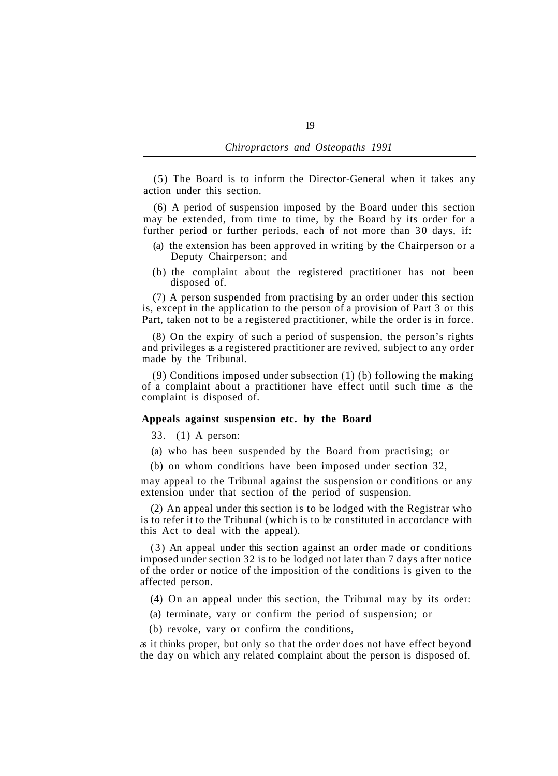(5) The Board is to inform the Director-General when it takes any action under this section.

(6) A period of suspension imposed by the Board under this section may be extended, from time to time, by the Board by its order for a further period or further periods, each of not more than 30 days, if:

- (a) the extension has been approved in writing by the Chairperson or a Deputy Chairperson; and
- (b) the complaint about the registered practitioner has not been disposed of.

(7) A person suspended from practising by an order under this section is, except in the application to the person of a provision of Part 3 or this Part, taken not to be a registered practitioner, while the order is in force.

(8) On the expiry of such a period of suspension, the person's rights and privileges as a registered practitioner are revived, subject to any order made by the Tribunal.

(9) Conditions imposed under subsection (1) (b) following the making of a complaint about a practitioner have effect until such time as the complaint is disposed of.

### **Appeals against suspension etc. by the Board**

33. (1) A person:

(a) who has been suspended by the Board from practising; or

(b) on whom conditions have been imposed under section 32,

may appeal to the Tribunal against the suspension or conditions or any extension under that section of the period of suspension.

(2) An appeal under this section is to be lodged with the Registrar who is to refer it to the Tribunal (which is to be constituted in accordance with this Act to deal with the appeal).

(3) An appeal under this section against an order made or conditions imposed under section 32 is to be lodged not later than 7 days after notice of the order or notice of the imposition of the conditions is given to the affected person.

(4) On an appeal under this section, the Tribunal may by its order:

- (a) terminate, vary or confirm the period of suspension; or
- (b) revoke, vary or confirm the conditions,

as it thinks proper, but only so that the order does not have effect beyond the day on which any related complaint about the person is disposed of.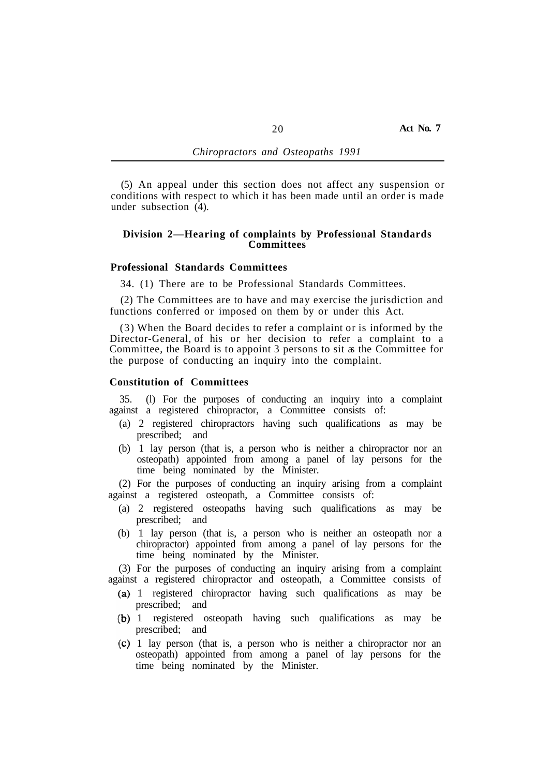(5) An appeal under this section does not affect any suspension or conditions with respect to which it has been made until an order is made under subsection (4).

## **Division 2—Hearing of complaints by Professional Standards Committees**

## **Professional Standards Committees**

34. (1) There are to be Professional Standards Committees.

(2) The Committees are to have and may exercise the jurisdiction and functions conferred or imposed on them by or under this Act.

(3) When the Board decides to refer a complaint or is informed by the Director-General, of his or her decision to refer a complaint to a Committee, the Board is to appoint 3 persons to sit as the Committee for the purpose of conducting an inquiry into the complaint.

### **Constitution of Committees**

35. (l) For the purposes of conducting an inquiry into a complaint against a registered chiropractor, a Committee consists of:

- (a) 2 registered chiropractors having such qualifications as may be prescribed; and
- (b) 1 lay person (that is, a person who is neither a chiropractor nor an osteopath) appointed from among a panel of lay persons for the time being nominated by the Minister.

(2) For the purposes of conducting an inquiry arising from a complaint against a registered osteopath, a Committee consists of:

- (a) 2 registered osteopaths having such qualifications as may be prescribed; and
- (b) 1 lay person (that is, a person who is neither an osteopath nor a chiropractor) appointed from among a panel of lay persons for the time being nominated by the Minister.

(3) For the purposes of conducting an inquiry arising from a complaint against a registered chiropractor and osteopath, a Committee consists of

- (a) 1 registered chiropractor having such qualifications as may be prescribed; and
- (b) 1 registered osteopath having such qualifications as may be prescribed; and
- 1 lay person (that is, a person who is neither a chiropractor nor an osteopath) appointed from among a panel of lay persons for the time being nominated by the Minister.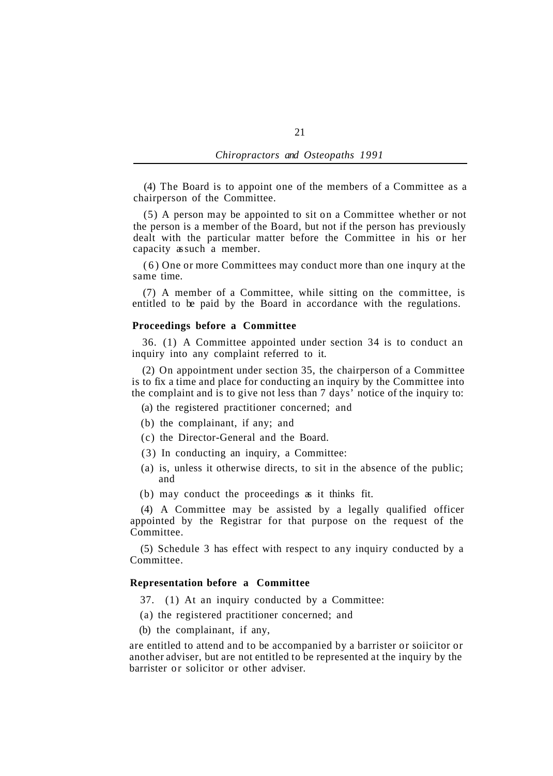(4) The Board is to appoint one of the members of a Committee as a chairperson of the Committee.

(5) A person may be appointed to sit on a Committee whether or not the person is a member of the Board, but not if the person has previously dealt with the particular matter before the Committee in his or her capacity as such a member.

(6) One or more Committees may conduct more than one inqury at the same time.

(7) A member of a Committee, while sitting on the committee, is entitled to be paid by the Board in accordance with the regulations.

#### **Proceedings before a Committee**

36. (1) A Committee appointed under section 34 is to conduct an inquiry into any complaint referred to it.

(2) On appointment under section 35, the chairperson of a Committee is to fix a time and place for conducting an inquiry by the Committee into the complaint and is to give not less than 7 days' notice of the inquiry to:

(a) the registered practitioner concerned; and

- (b) the complainant, if any; and
- (c) the Director-General and the Board.
- (3) In conducting an inquiry, a Committee:
- (a) is, unless it otherwise directs, to sit in the absence of the public; and
- (b) may conduct the proceedings as it thinks fit.

(4) A Committee may be assisted by a legally qualified officer appointed by the Registrar for that purpose on the request of the Committee.

(5) Schedule 3 has effect with respect to any inquiry conducted by a Committee.

# **Representation before a Committee**

- 37. (1) At an inquiry conducted by a Committee:
- (a) the registered practitioner concerned; and
- (b) the complainant, if any,

are entitled to attend and to be accompanied by a barrister or soiicitor or another adviser, but are not entitled to be represented at the inquiry by the barrister or solicitor or other adviser.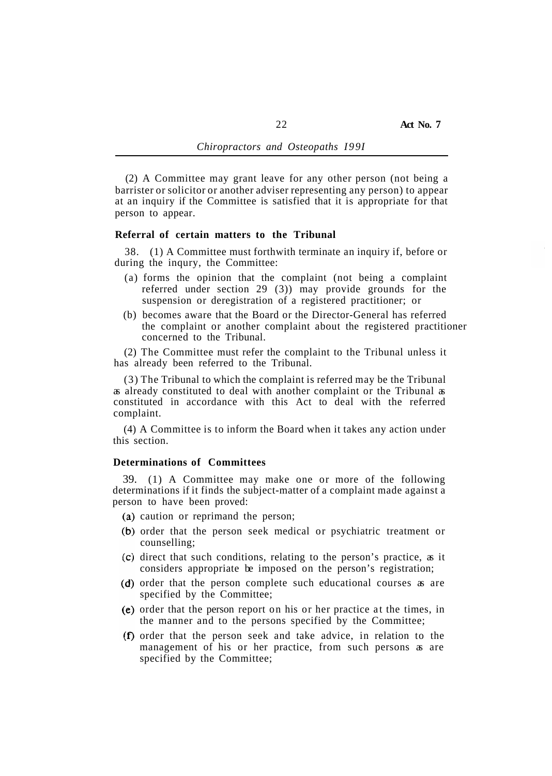(2) A Committee may grant leave for any other person (not being a barrister or solicitor or another adviser representing any person) to appear at an inquiry if the Committee is satisfied that it is appropriate for that person to appear.

### **Referral of certain matters to the Tribunal**

during the inqury, the Committee: 38. (1) A Committee must forthwith terminate an inquiry if, before or

- (a) forms the opinion that the complaint (not being a complaint referred under section 29 (3)) may provide grounds for the suspension or deregistration of a registered practitioner; or
- (b) becomes aware that the Board or the Director-General has referred the complaint or another complaint about the registered practitioner concerned to the Tribunal.

(2) The Committee must refer the complaint to the Tribunal unless it has already been referred to the Tribunal.

(3) The Tribunal to which the complaint is referred may be the Tribunal as already constituted to deal with another complaint or the Tribunal as constituted in accordance with this Act to deal with the referred complaint.

(4) A Committee is to inform the Board when it takes any action under this section.

# **Determinations of Committees**

39. (1) A Committee may make one or more of the following determinations if it finds the subject-matter of a complaint made against a person to have been proved:

- (a) caution or reprimand the person;
- (b) order that the person seek medical or psychiatric treatment or counselling;
- $(c)$  direct that such conditions, relating to the person's practice, as it considers appropriate be imposed on the person's registration;
- (d) order that the person complete such educational courses as are specified by the Committee;
- (e) order that the person report on his or her practice at the times, in the manner and to the persons specified by the Committee;
- (f) order that the person seek and take advice, in relation to the management of his or her practice, from such persons as are specified by the Committee;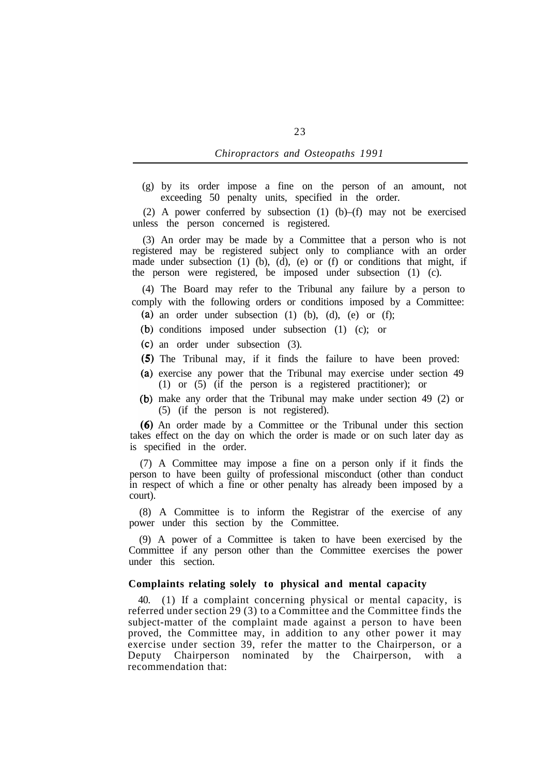(g) by its order impose a fine on the person of an amount, not exceeding 50 penalty units, specified in the order.

(2) A power conferred by subsection (1) (b)–(f) may not be exercised unless the person concerned is registered.

(3) An order may be made by a Committee that a person who is not registered may be registered subject only to compliance with an order made under subsection (1) (b), (d), (e) or (f) or conditions that might, if the person were registered, be imposed under subsection (1) (c).

(4) The Board may refer to the Tribunal any failure by a person to comply with the following orders or conditions imposed by a Committee: (a) an order under subsection  $(1)$   $(b)$ ,  $(d)$ ,  $(e)$  or  $(f)$ ;

- 
- (b) conditions imposed under subsection (1) (c); or
- an order under subsection (3).
- (5) The Tribunal may, if it finds the failure to have been proved:
- (a) exercise any power that the Tribunal may exercise under section 49 (1) or (5) (if the person is a registered practitioner); or
- make any order that the Tribunal may make under section 49 (2) or (5) (if the person is not registered).

An order made by a Committee or the Tribunal under this section takes effect on the day on which the order is made or on such later day as is specified in the order.

(7) A Committee may impose a fine on a person only if it finds the person to have been guilty of professional misconduct (other than conduct in respect of which a fine or other penalty has already been imposed by a court).

(8) A Committee is to inform the Registrar of the exercise of any power under this section by the Committee.

(9) A power of a Committee is taken to have been exercised by the Committee if any person other than the Committee exercises the power under this section.

## **Complaints relating solely to physical and mental capacity**

40. (1) If a complaint concerning physical or mental capacity, is referred under section 29 (3) to a Committee and the Committee finds the subject-matter of the complaint made against a person to have been proved, the Committee may, in addition to any other power it may exercise under section 39, refer the matter to the Chairperson, or a Deputy Chairperson nominated by the Chairperson, with a recommendation that: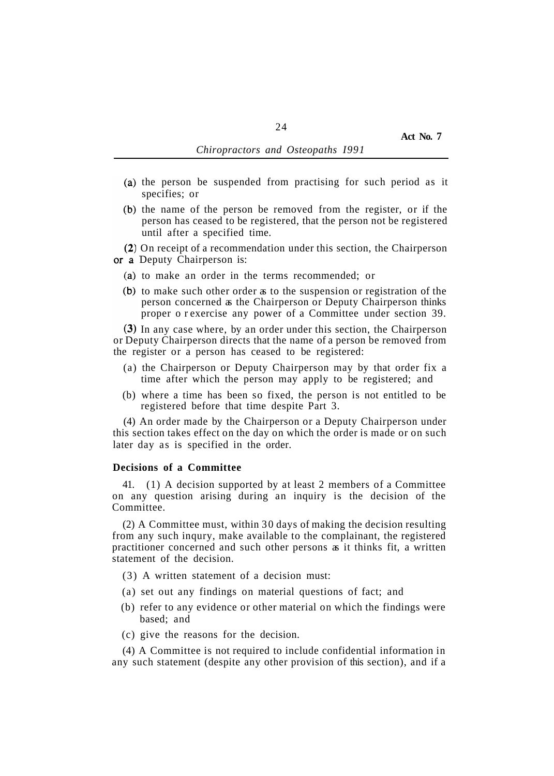- $(a)$  the person be suspended from practising for such period as it specifies; or
- (b) the name of the person be removed from the register, or if the person has ceased to be registered, that the person not be registered until after a specified time.

(2) On receipt of a recommendation under this section, the Chairperson or a Deputy Chairperson is:

- (a) to make an order in the terms recommended; or
- $(b)$  to make such other order  $\alpha$  to the suspension or registration of the person concerned as the Chairperson or Deputy Chairperson thinks proper or exercise any power of a Committee under section 39.

(3) In any case where, by an order under this section, the Chairperson or Deputy Chairperson directs that the name of a person be removed from the register or a person has ceased to be registered:

- (a) the Chairperson or Deputy Chairperson may by that order fix a time after which the person may apply to be registered; and
- (b) where a time has been so fixed, the person is not entitled to be registered before that time despite Part 3.

(4) An order made by the Chairperson or a Deputy Chairperson under this section takes effect on the day on which the order is made or on such later day as is specified in the order.

#### **Decisions of a Committee**

41. (1) A decision supported by at least 2 members of a Committee on any question arising during an inquiry is the decision of the Committee.

(2) A Committee must, within 30 days of making the decision resulting from any such inqury, make available to the complainant, the registered practitioner concerned and such other persons as it thinks fit, a written statement of the decision.

- (3) A written statement of a decision must:
- (a) set out any findings on material questions of fact; and
- (b) refer to any evidence or other material on which the findings were based; and
- (c) give the reasons for the decision.

(4) A Committee is not required to include confidential information in any such statement (despite any other provision of this section), and if a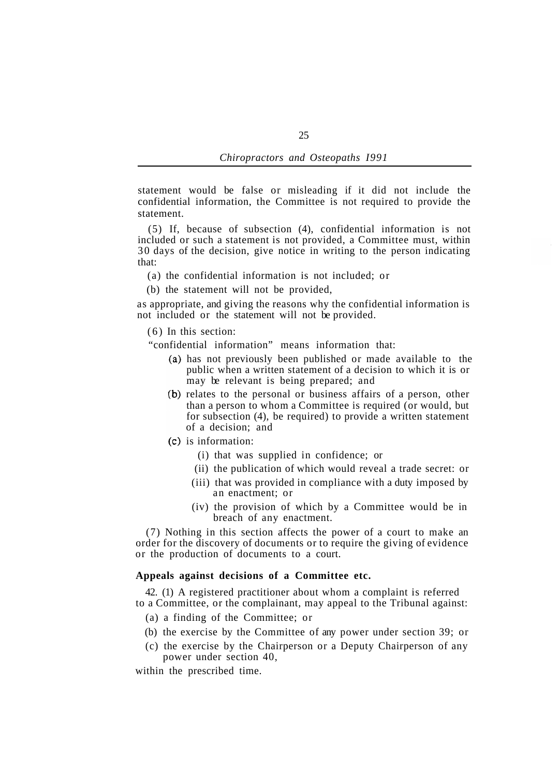statement would be false or misleading if it did not include the confidential information, the Committee is not required to provide the statement.

(5) If, because of subsection (4), confidential information is not included or such a statement is not provided, a Committee must, within 30 days of the decision, give notice in writing to the person indicating that:

- (a) the confidential information is not included; or
- (b) the statement will not be provided,

as appropriate, and giving the reasons why the confidential information is not included or the statement will not be provided.

(6) In this section:

"confidential information" means information that:

- has not previously been published or made available to the public when a written statement of a decision to which it is or may be relevant is being prepared; and
- (b) relates to the personal or business affairs of a person, other than a person to whom a Committee is required (or would, but for subsection (4), be required) to provide a written statement of a decision; and
- $(c)$  is information:
	- (i) that was supplied in confidence; or
	- (ii) the publication of which would reveal a trade secret: or
	- (iii) that was provided in compliance with a duty imposed by an enactment; or
	- (iv) the provision of which by a Committee would be in breach of any enactment.

(7) Nothing in this section affects the power of a court to make an order for the discovery of documents or to require the giving of evidence or the production of documents to a court.

### **Appeals against decisions of a Committee etc.**

42. (1) A registered practitioner about whom a complaint is referred to a Committee, or the complainant, may appeal to the Tribunal against:

- (a) a finding of the Committee; or
- (b) the exercise by the Committee of any power under section 39; or
- (c) the exercise by the Chairperson or a Deputy Chairperson of any power under section 40,

within the prescribed time.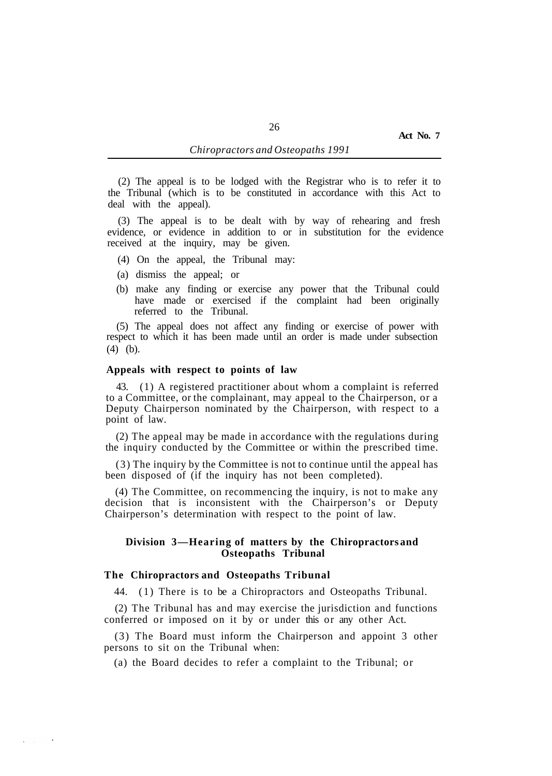(2) The appeal is to be lodged with the Registrar who is to refer it to the Tribunal (which is to be constituted in accordance with this Act to deal with the appeal).

(3) The appeal is to be dealt with by way of rehearing and fresh evidence, or evidence in addition to or in substitution for the evidence received at the inquiry, may be given.

- (4) On the appeal, the Tribunal may:
- (a) dismiss the appeal; or
- (b) make any finding or exercise any power that the Tribunal could have made or exercised if the complaint had been originally referred to the Tribunal.

(5) The appeal does not affect any finding or exercise of power with respect to which it has been made until an order is made under subsection (4) (b).

### **Appeals with respect to points of law**

43. (1) A registered practitioner about whom a complaint is referred to a Committee, or the complainant, may appeal to the Chairperson, or a Deputy Chairperson nominated by the Chairperson, with respect to a point of law.

(2) The appeal may be made in accordance with the regulations during the inquiry conducted by the Committee or within the prescribed time.

(3) The inquiry by the Committee is not to continue until the appeal has been disposed of (if the inquiry has not been completed).

(4) The Committee, on recommencing the inquiry, is not to make any decision that is inconsistent with the Chairperson's or Deputy Chairperson's determination with respect to the point of law.

# **Division 3—Hearing of matters by the Chiropractors and Osteopaths Tribunal**

# **The Chiropractors and Osteopaths Tribunal**

 $\mathbf{a} = \mathbf{a} \mathbf{a}$ 

44. (1) There is to be a Chiropractors and Osteopaths Tribunal.

(2) The Tribunal has and may exercise the jurisdiction and functions conferred or imposed on it by or under this or any other Act.

(3) The Board must inform the Chairperson and appoint 3 other persons to sit on the Tribunal when:

(a) the Board decides to refer a complaint to the Tribunal; or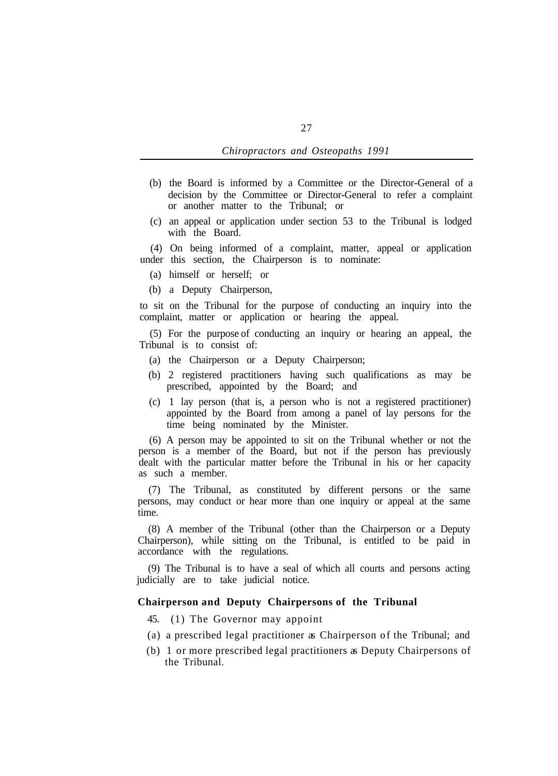- *Chiropractors and Osteopaths 1991*
- (b) the Board is informed by a Committee or the Director-General of a decision by the Committee or Director-General to refer a complaint or another matter to the Tribunal; or
- (c) an appeal or application under section 53 to the Tribunal is lodged with the Board.

(4) On being informed of a complaint, matter, appeal or application under this section, the Chairperson is to nominate:

- (a) himself or herself; or
- (b) a Deputy Chairperson,

to sit on the Tribunal for the purpose of conducting an inquiry into the complaint, matter or application or hearing the appeal.

(5) For the purpose of conducting an inquiry or hearing an appeal, the Tribunal is to consist of:

- (a) the Chairperson or a Deputy Chairperson;
- (b) 2 registered practitioners having such qualifications as may be prescribed, appointed by the Board; and
- (c) 1 lay person (that is, a person who is not a registered practitioner) appointed by the Board from among a panel of lay persons for the time being nominated by the Minister.

(6) A person may be appointed to sit on the Tribunal whether or not the person is a member of the Board, but not if the person has previously dealt with the particular matter before the Tribunal in his or her capacity as such a member.

(7) The Tribunal, as constituted by different persons or the same persons, may conduct or hear more than one inquiry or appeal at the same time.

(8) A member of the Tribunal (other than the Chairperson or a Deputy Chairperson), while sitting on the Tribunal, is entitled to be paid in accordance with the regulations.

(9) The Tribunal is to have a seal of which all courts and persons acting judicially are to take judicial notice.

### **Chairperson and Deputy Chairpersons of the Tribunal**

- 45. (1) The Governor may appoint
- (a) a prescribed legal practitioner as Chairperson of the Tribunal; and
- (b) 1 or more prescribed legal practitioners as Deputy Chairpersons of the Tribunal.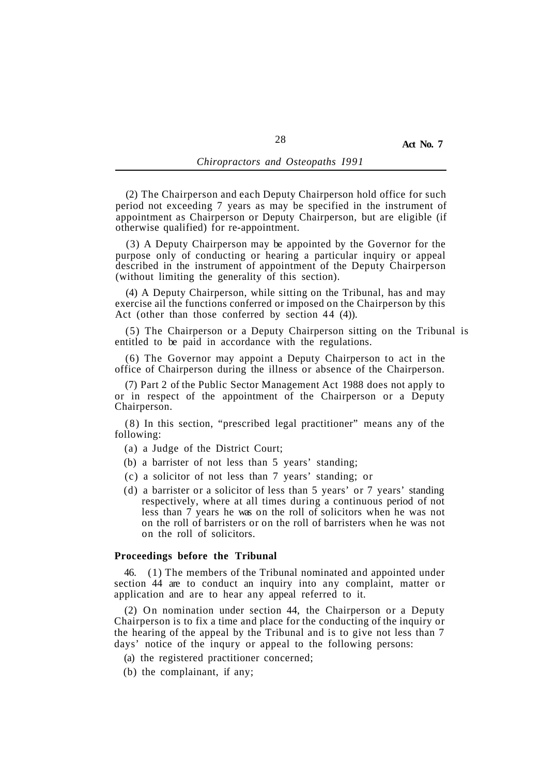(2) The Chairperson and each Deputy Chairperson hold office for such period not exceeding 7 years as may be specified in the instrument of appointment as Chairperson or Deputy Chairperson, but are eligible (if otherwise qualified) for re-appointment.

(3) A Deputy Chairperson may be appointed by the Governor for the purpose only of conducting or hearing a particular inquiry or appeal described in the instrument of appointment of the Deputy Chairperson (without limiting the generality of this section).

(4) A Deputy Chairperson, while sitting on the Tribunal, has and may exercise ail the functions conferred or imposed on the Chairperson by this Act (other than those conferred by section 44 (4)).

(5) The Chairperson or a Deputy Chairperson sitting on the Tribunal is entitled to be paid in accordance with the regulations.

(6) The Governor may appoint a Deputy Chairperson to act in the office of Chairperson during the illness or absence of the Chairperson.

(7) Part 2 of the Public Sector Management Act 1988 does not apply to or in respect of the appointment of the Chairperson or a Deputy Chairperson.

(8) In this section, "prescribed legal practitioner" means any of the following:

(a) a Judge of the District Court;

- (b) a barrister of not less than 5 years' standing;
- (c) a solicitor of not less than 7 years' standing; or
- (d) a barrister or a solicitor of less than 5 years' or 7 years' standing respectively, where at all times during a continuous period of not less than 7 years he was on the roll of solicitors when he was not on the roll of barristers or on the roll of barristers when he was not on the roll of solicitors.

### **Proceedings before the Tribunal**

46. (1) The members of the Tribunal nominated and appointed under section 44 are to conduct an inquiry into any complaint, matter or application and are to hear any appeal referred to it.

(2) On nomination under section 44, the Chairperson or a Deputy Chairperson is to fix a time and place for the conducting of the inquiry or the hearing of the appeal by the Tribunal and is to give not less than 7 days' notice of the inqury or appeal to the following persons:

- (a) the registered practitioner concerned;
- (b) the complainant, if any;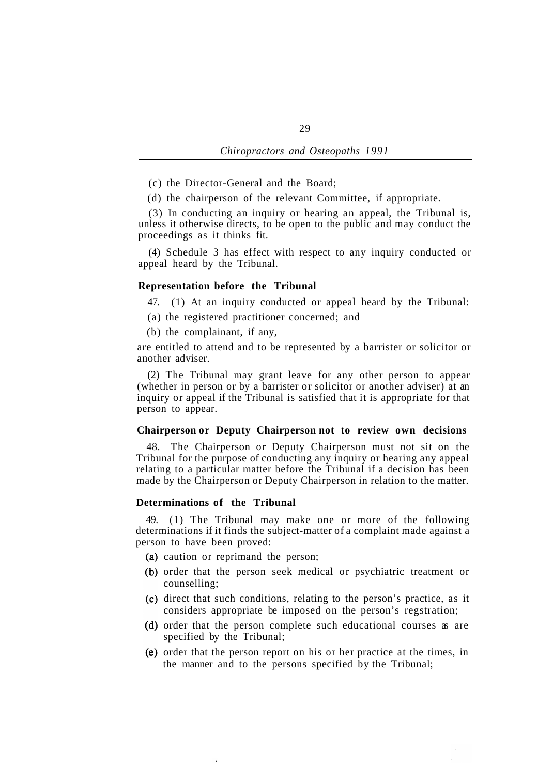- (c) the Director-General and the Board;
- (d) the chairperson of the relevant Committee, if appropriate.

(3) In conducting an inquiry or hearing an appeal, the Tribunal is, unless it otherwise directs, to be open to the public and may conduct the proceedings as it thinks fit.

(4) Schedule 3 has effect with respect to any inquiry conducted or appeal heard by the Tribunal.

### **Representation before the Tribunal**

47. (1) At an inquiry conducted or appeal heard by the Tribunal:

- (a) the registered practitioner concerned; and
- (b) the complainant, if any,

are entitled to attend and to be represented by a barrister or solicitor or another adviser.

(2) The Tribunal may grant leave for any other person to appear (whether in person or by a barrister or solicitor or another adviser) at an inquiry or appeal if the Tribunal is satisfied that it is appropriate for that person to appear.

# **Chairperson or Deputy Chairperson not to review own decisions**

48. The Chairperson or Deputy Chairperson must not sit on the Tribunal for the purpose of conducting any inquiry or hearing any appeal relating to a particular matter before the Tribunal if a decision has been made by the Chairperson or Deputy Chairperson in relation to the matter.

### **Determinations of the Tribunal**

49. (1) The Tribunal may make one or more of the following determinations if it finds the subject-matter of a complaint made against a person to have been proved:

- (a) caution or reprimand the person;
- (b) order that the person seek medical or psychiatric treatment or counselling;
- (c) direct that such conditions, relating to the person's practice, as it considers appropriate be imposed on the person's regstration;
- (d) order that the person complete such educational courses as are specified by the Tribunal;
- $(e)$  order that the person report on his or her practice at the times, in the manner and to the persons specified by the Tribunal;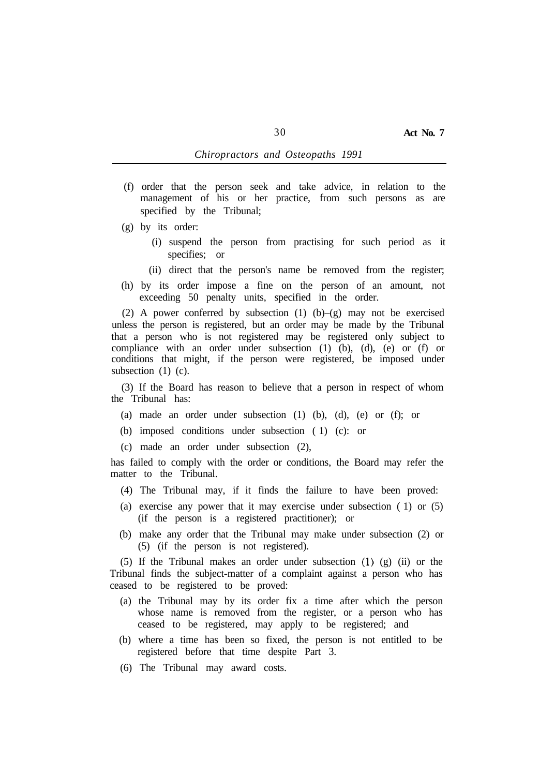- (f) order that the person seek and take advice, in relation to the management of his or her practice, from such persons as are specified by the Tribunal;
- (g) by its order:
	- (i) suspend the person from practising for such period as it specifies; or
	- (ii) direct that the person's name be removed from the register;
- (h) by its order impose a fine on the person of an amount, not exceeding 50 penalty units, specified in the order.

(2) A power conferred by subsection (1) (b)–(g) may not be exercised unless the person is registered, but an order may be made by the Tribunal that a person who is not registered may be registered only subject to compliance with an order under subsection (1) (b), (d), (e) or (f) or conditions that might, if the person were registered, be imposed under subsection (1) (c).

(3) If the Board has reason to believe that a person in respect of whom the Tribunal has:

- (a) made an order under subsection (1) (b), (d), (e) or (f); or
- (b) imposed conditions under subsection ( 1) (c): or
- (c) made an order under subsection (2),

has failed to comply with the order or conditions, the Board may refer the matter to the Tribunal.

- (4) The Tribunal may, if it finds the failure to have been proved:
- (a) exercise any power that it may exercise under subsection ( 1) or (5) (if the person is a registered practitioner); or
- (b) make any order that the Tribunal may make under subsection (2) or (5) (if the person is not registered).

(5) If the Tribunal makes an order under subsection (1) (g) (ii) or the Tribunal finds the subject-matter of a complaint against a person who has ceased to be registered to be proved:

- (a) the Tribunal may by its order fix a time after which the person whose name is removed from the register, or a person who has ceased to be registered, may apply to be registered; and
- (b) where a time has been so fixed, the person is not entitled to be registered before that time despite Part 3.
- (6) The Tribunal may award costs.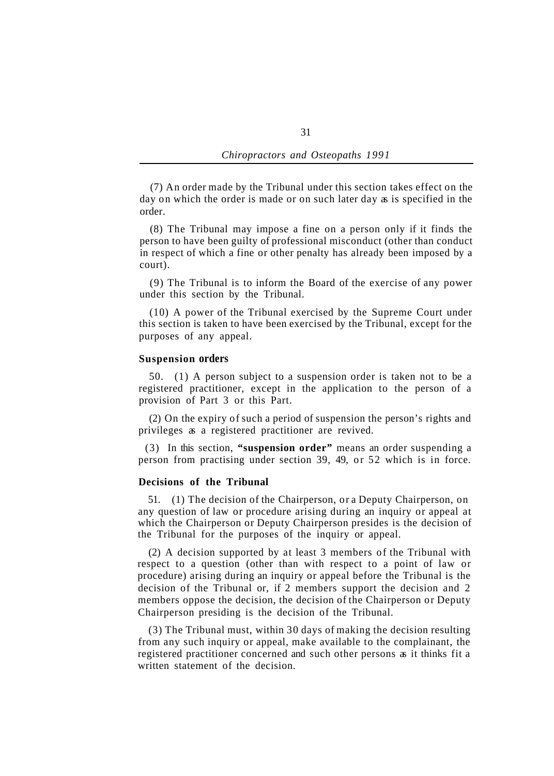(7) An order made by the Tribunal under this section takes effect on the day on which the order is made or on such later day as is specified in the order.

(8) The Tribunal may impose a fine on a person only if it finds the person to have been guilty of professional misconduct (other than conduct in respect of which a fine or other penalty has already been imposed by a court).

(9) The Tribunal is to inform the Board of the exercise of any power under this section by the Tribunal.

(10) A power of the Tribunal exercised by the Supreme Court under this section is taken to have been exercised by the Tribunal, except for the purposes of any appeal.

### **Suspension orders**

50. (1) A person subject to a suspension order is taken not to be a registered practitioner, except in the application to the person of a provision of Part 3 or this Part.

(2) On the expiry of such a period of suspension the person's rights and privileges as a registered practitioner are revived.

(3) In this section, **"suspension order"** means an order suspending a person from practising under section 39, 49, or 52 which is in force.

### **Decisions of the Tribunal**

51. (1) The decision of the Chairperson, or a Deputy Chairperson, on any question of law or procedure arising during an inquiry or appeal at which the Chairperson or Deputy Chairperson presides is the decision of the Tribunal for the purposes of the inquiry or appeal.

(2) A decision supported by at least 3 members of the Tribunal with respect to a question (other than with respect to a point of law or procedure) arising during an inquiry or appeal before the Tribunal is the decision of the Tribunal or, if 2 members support the decision and 2 members oppose the decision, the decision of the Chairperson or Deputy Chairperson presiding is the decision of the Tribunal.

(3) The Tribunal must, within 30 days of making the decision resulting from any such inquiry or appeal, make available to the complainant, the registered practitioner concerned and such other persons as it thinks fit a written statement of the decision.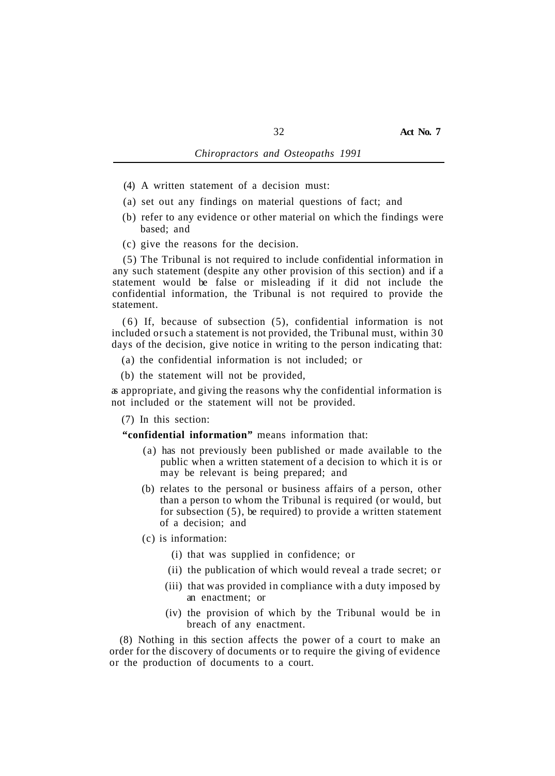- (4) A written statement of a decision must:
- (a) set out any findings on material questions of fact; and
- (b) refer to any evidence or other material on which the findings were based; and
- (c) give the reasons for the decision.

(5) The Tribunal is not required to include confidential information in any such statement (despite any other provision of this section) and if a statement would be false or misleading if it did not include the confidential information, the Tribunal is not required to provide the statement.

(6) If, because of subsection (5), confidential information is not included or such a statement is not provided, the Tribunal must, within 30 days of the decision, give notice in writing to the person indicating that:

- (a) the confidential information is not included; or
- (b) the statement will not be provided,

as appropriate, and giving the reasons why the confidential information is not included or the statement will not be provided.

(7) In this section:

**"confidential information"** means information that:

- (a) has not previously been published or made available to the public when a written statement of a decision to which it is or may be relevant is being prepared; and
- (b) relates to the personal or business affairs of a person, other than a person to whom the Tribunal is required (or would, but for subsection (5), be required) to provide a written statement of a decision; and
- (c) is information:
	- (i) that was supplied in confidence; or
	- (ii) the publication of which would reveal a trade secret; or
	- (iii) that was provided in compliance with a duty imposed by an enactment; or
	- (iv) the provision of which by the Tribunal would be in breach of any enactment.

(8) Nothing in this section affects the power of a court to make an order for the discovery of documents or to require the giving of evidence or the production of documents to a court.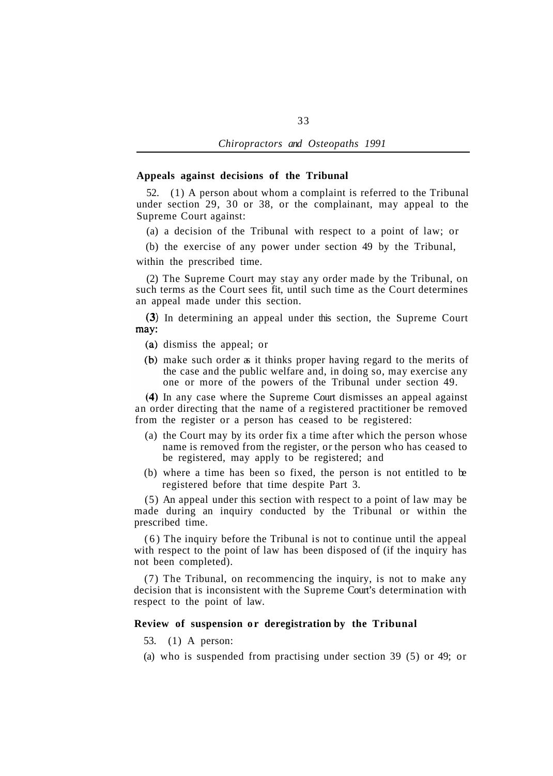### **Appeals against decisions of the Tribunal**

52. (1) A person about whom a complaint is referred to the Tribunal under section 29, 30 or 38, or the complainant, may appeal to the Supreme Court against:

(a) a decision of the Tribunal with respect to a point of law; or

(b) the exercise of any power under section 49 by the Tribunal,

within the prescribed time.

(2) The Supreme Court may stay any order made by the Tribunal, on such terms as the Court sees fit, until such time as the Court determines an appeal made under this section.

(3) In determining an appeal under this section, the Supreme Court may:

- (a) dismiss the appeal; or
- (b) make such order as it thinks proper having regard to the merits of the case and the public welfare and, in doing so, may exercise any one or more of the powers of the Tribunal under section 49.

In any case where the Supreme Court dismisses an appeal against an order directing that the name of a registered practitioner be removed from the register or a person has ceased to be registered:

- (a) the Court may by its order fix a time after which the person whose name is removed from the register, or the person who has ceased to be registered, may apply to be registered; and
- (b) where a time has been so fixed, the person is not entitled to be registered before that time despite Part 3.

(5) An appeal under this section with respect to a point of law may be made during an inquiry conducted by the Tribunal or within the prescribed time.

(6) The inquiry before the Tribunal is not to continue until the appeal with respect to the point of law has been disposed of (if the inquiry has not been completed).

(7) The Tribunal, on recommencing the inquiry, is not to make any decision that is inconsistent with the Supreme Court's determination with respect to the point of law.

### **Review of suspension or deregistration by the Tribunal**

- 53. (1) A person:
- (a) who is suspended from practising under section 39 (5) or 49; or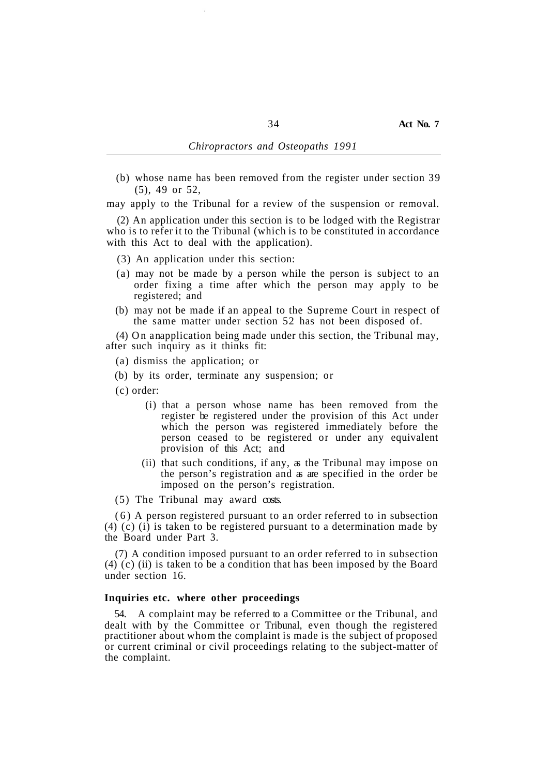(b) whose name has been removed from the register under section 39 (5), 49 or 52,

may apply to the Tribunal for a review of the suspension or removal.

(2) An application under this section is to be lodged with the Registrar who is to refer it to the Tribunal (which is to be constituted in accordance with this Act to deal with the application).

- (3) An application under this section:
- (a) may not be made by a person while the person is subject to an order fixing a time after which the person may apply to be registered; and
- (b) may not be made if an appeal to the Supreme Court in respect of the same matter under section 52 has not been disposed of.

(4) On anapplication being made under this section, the Tribunal may, after such inquiry as it thinks fit:

- (a) dismiss the application; or
- (b) by its order, terminate any suspension; or
- (c) order:
	- (i) that a person whose name has been removed from the register be registered under the provision of this Act under which the person was registered immediately before the person ceased to be registered or under any equivalent provision of this Act; and
	- (ii) that such conditions, if any, as the Tribunal may impose on the person's registration and as are specified in the order be imposed on the person's registration.
- (5) The Tribunal may award costs.

(6) A person registered pursuant to an order referred to in subsection (4) (c) (i) is taken to be registered pursuant to a determination made by the Board under Part 3.

(7) A condition imposed pursuant to an order referred to in subsection (4) (c) (ii) is taken to be a condition that has been imposed by the Board under section 16.

### **Inquiries etc. where other proceedings**

54. A complaint may be referred to a Committee or the Tribunal, and dealt with by the Committee or Tribunal, even though the registered practitioner about whom the complaint is made is the subject of proposed or current criminal or civil proceedings relating to the subject-matter of the complaint.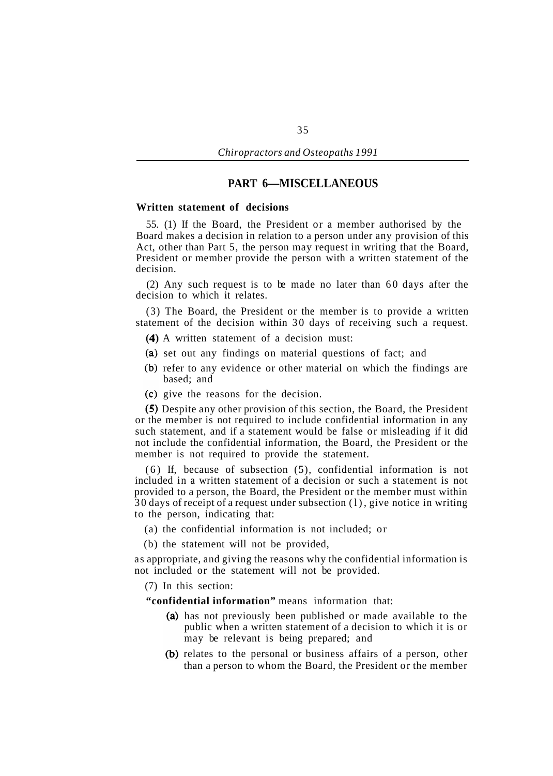# **PART 6—MISCELLANEOUS**

#### **Written statement of decisions**

55. (1) If the Board, the President or a member authorised by the Board makes a decision in relation to a person under any provision of this Act, other than Part 5, the person may request in writing that the Board, President or member provide the person with a written statement of the decision.

(2) Any such request is to be made no later than 60 days after the decision to which it relates.

(3) The Board, the President or the member is to provide a written statement of the decision within 30 days of receiving such a request.

- A written statement of a decision must:
- (a) set out any findings on material questions of fact; and
- (b) refer to any evidence or other material on which the findings are based; and
- give the reasons for the decision.

Despite any other provision of this section, the Board, the President or the member is not required to include confidential information in any such statement, and if a statement would be false or misleading if it did not include the confidential information, the Board, the President or the member is not required to provide the statement.

(6) If, because of subsection (5), confidential information is not included in a written statement of a decision or such a statement is not provided to a person, the Board, the President or the member must within 30 days of receipt of a request under subsection (l), give notice in writing to the person, indicating that:

- (a) the confidential information is not included; or
- (b) the statement will not be provided,

as appropriate, and giving the reasons why the confidential information is not included or the statement will not be provided.

(7) In this section:

**"confidential information"** means information that:

- (a) has not previously been published or made available to the public when a written statement of a decision to which it is or may be relevant is being prepared; and
- (b) relates to the personal or business affairs of a person, other than a person to whom the Board, the President or the member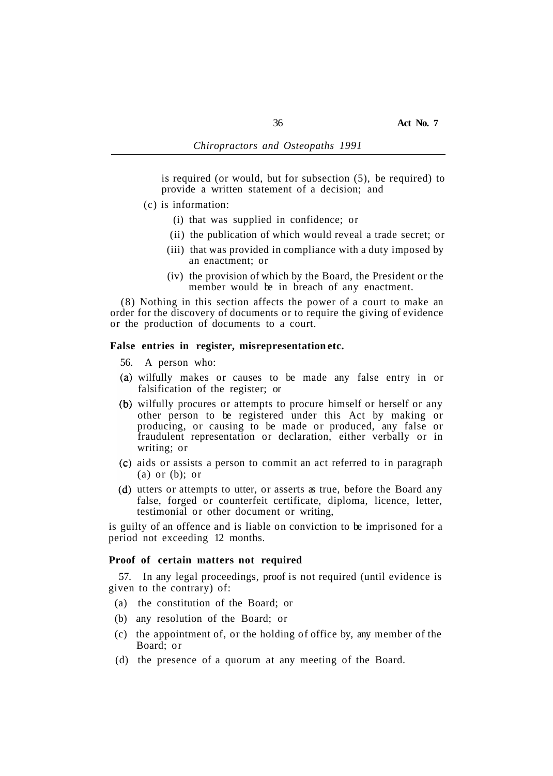is required (or would, but for subsection (5), be required) to provide a written statement of a decision; and

- (c) is information:
	- (i) that was supplied in confidence; or
	- (ii) the publication of which would reveal a trade secret; or
	- (iii) that was provided in compliance with a duty imposed by an enactment; or
	- (iv) the provision of which by the Board, the President or the member would be in breach of any enactment.

(8) Nothing in this section affects the power of a court to make an order for the discovery of documents or to require the giving of evidence or the production of documents to a court.

# **False entries in register, misrepresentation etc.**

- 56. A person who:
- wilfully makes or causes to be made any false entry in or falsification of the register; or
- (b) wilfully procures or attempts to procure himself or herself or any other person to be registered under this Act by making or producing, or causing to be made or produced, any false or fraudulent representation or declaration, either verbally or in writing; or
- aids or assists a person to commit an act referred to in paragraph (a) or (b); or
- (d) utters or attempts to utter, or asserts as true, before the Board any false, forged or counterfeit certificate, diploma, licence, letter, testimonial or other document or writing,

is guilty of an offence and is liable on conviction to be imprisoned for a period not exceeding 12 months.

#### **Proof of certain matters not required**

given to the contrary) of: 57. In any legal proceedings, proof is not required (until evidence is

- (a) the constitution of the Board; or
- (b) any resolution of the Board; or
- (c) the appointment of, or the holding of office by, any member of the Board; or
- (d) the presence of a quorum at any meeting of the Board.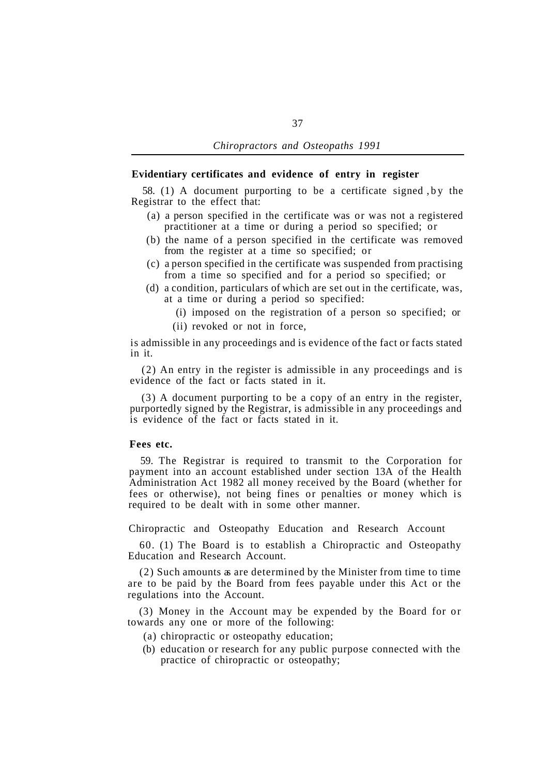## **Evidentiary certificates and evidence of entry in register**

Registrar to the effect that: 58. (1) A document purporting to be a certificate signed ,by the

- (a) a person specified in the certificate was or was not a registered practitioner at a time or during a period so specified; or
- (b) the name of a person specified in the certificate was removed from the register at a time so specified; or
- (c) a person specified in the certificate was suspended from practising from a time so specified and for a period so specified; or
- (d) a condition, particulars of which are set out in the certificate, was, at a time or during a period so specified:
	- (i) imposed on the registration of a person so specified; or
	- (ii) revoked or not in force,

is admissible in any proceedings and is evidence of the fact or facts stated in it.

(2) An entry in the register is admissible in any proceedings and is evidence of the fact or facts stated in it.

(3) A document purporting to be a copy of an entry in the register, purportedly signed by the Registrar, is admissible in any proceedings and is evidence of the fact or facts stated in it.

# **Fees etc.**

59. The Registrar is required to transmit to the Corporation for payment into an account established under section 13A of the Health Administration Act 1982 all money received by the Board (whether for fees or otherwise), not being fines or penalties or money which is required to be dealt with in some other manner.

Chiropractic and Osteopathy Education and Research Account

60. (1) The Board is to establish a Chiropractic and Osteopathy Education and Research Account.

(2) Such amounts as are determined by the Minister from time to time are to be paid by the Board from fees payable under this Act or the regulations into the Account.

(3) Money in the Account may be expended by the Board for or towards any one or more of the following:

- (a) chiropractic or osteopathy education;
- (b) education or research for any public purpose connected with the practice of chiropractic or osteopathy;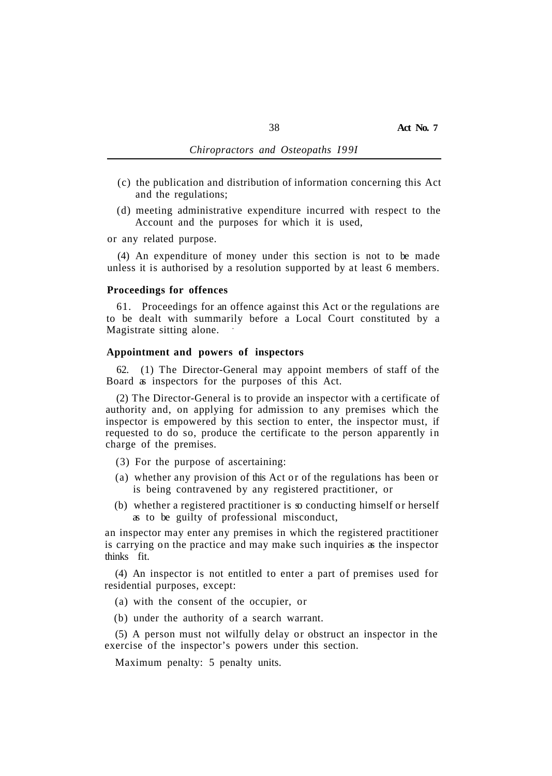- (c) the publication and distribution of information concerning this Act and the regulations;
- (d) meeting administrative expenditure incurred with respect to the Account and the purposes for which it is used,

or any related purpose.

(4) An expenditure of money under this section is not to be made unless it is authorised by a resolution supported by at least 6 members.

#### **Proceedings for offences**

61. Proceedings for an offence against this Act or the regulations are to be dealt with summarily before a Local Court constituted by a Magistrate sitting alone.

### **Appointment and powers of inspectors**

62. (1) The Director-General may appoint members of staff of the Board as inspectors for the purposes of this Act.

(2) The Director-General is to provide an inspector with a certificate of authority and, on applying for admission to any premises which the inspector is empowered by this section to enter, the inspector must, if requested to do so, produce the certificate to the person apparently in charge of the premises.

- (3) For the purpose of ascertaining:
- (a) whether any provision of this Act or of the regulations has been or is being contravened by any registered practitioner, or
- (b) whether a registered practitioner is so conducting himself or herself as to be guilty of professional misconduct,

an inspector may enter any premises in which the registered practitioner is carrying on the practice and may make such inquiries as the inspector thinks fit.

(4) An inspector is not entitled to enter a part of premises used for residential purposes, except:

(a) with the consent of the occupier, or

(b) under the authority of a search warrant.

(5) A person must not wilfully delay or obstruct an inspector in the exercise of the inspector's powers under this section.

Maximum penalty: 5 penalty units.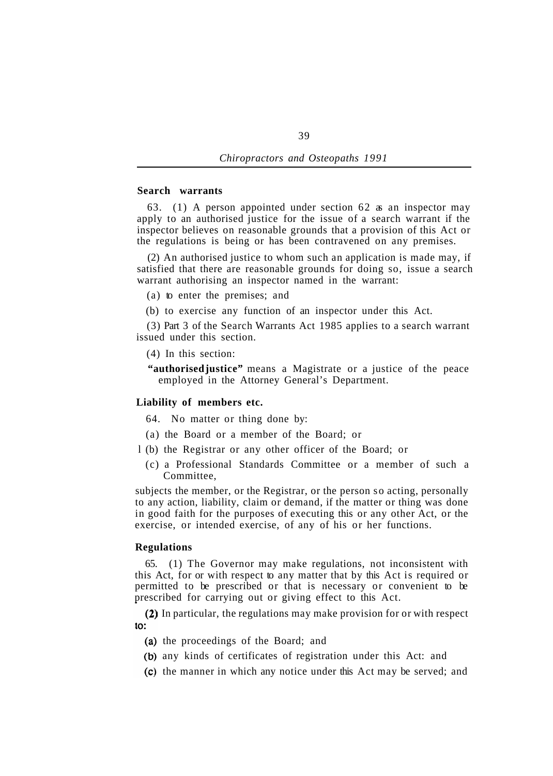# **Search warrants**

63. (1) A person appointed under section 62 as an inspector may apply to an authorised justice for the issue of a search warrant if the inspector believes on reasonable grounds that a provision of this Act or the regulations is being or has been contravened on any premises.

(2) An authorised justice to whom such an application is made may, if satisfied that there are reasonable grounds for doing so, issue a search warrant authorising an inspector named in the warrant:

(a) to enter the premises; and

(b) to exercise any function of an inspector under this Act.

(3) Part 3 of the Search Warrants Act 1985 applies to a search warrant issued under this section.

(4) In this section:

**"authorised justice"** means a Magistrate or a justice of the peace employed in the Attorney General's Department.

# **Liability of members etc.**

64. No matter or thing done by:

(a) the Board or a member of the Board; or

l (b) the Registrar or any other officer of the Board; or

(c) a Professional Standards Committee or a member of such a Committee,

subjects the member, or the Registrar, or the person so acting, personally to any action, liability, claim or demand, if the matter or thing was done in good faith for the purposes of executing this or any other Act, or the exercise, or intended exercise, of any of his or her functions.

#### **Regulations**

65. (1) The Governor may make regulations, not inconsistent with this Act, for or with respect to any matter that by this Act is required or permitted to be prescribed or that is necessary or convenient to be prescribed for carrying out or giving effect to this Act.

(2) In particular, the regulations may make provision for or with respect to:

- (a) the proceedings of the Board; and
- (b) any kinds of certificates of registration under this Act: and
- (c) the manner in which any notice under this Act may be served; and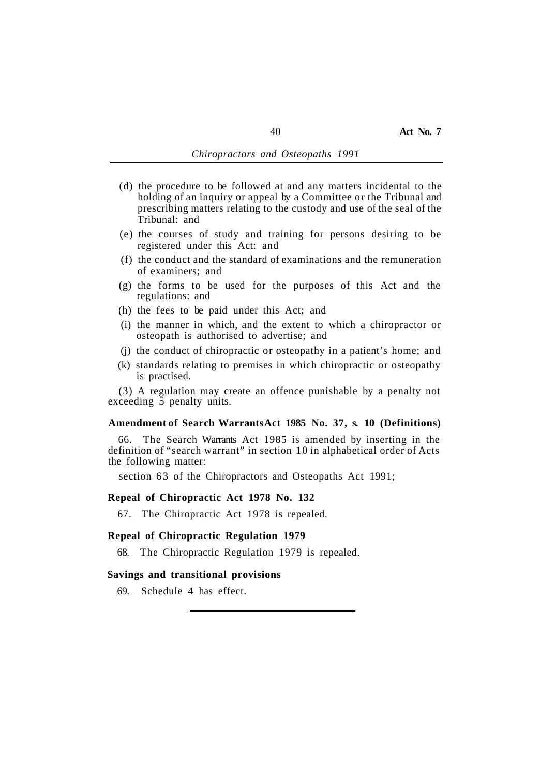- (d) the procedure to be followed at and any matters incidental to the holding of an inquiry or appeal by a Committee or the Tribunal and prescribing matters relating to the custody and use of the seal of the Tribunal: and
- (e) the courses of study and training for persons desiring to be registered under this Act: and
- (f) the conduct and the standard of examinations and the remuneration of examiners; and
- (g) the forms to be used for the purposes of this Act and the regulations: and
- (h) the fees to be paid under this Act; and
- (i) the manner in which, and the extent to which a chiropractor or osteopath is authorised to advertise; and
- (j) the conduct of chiropractic or osteopathy in a patient's home; and
- (k) standards relating to premises in which chiropractic or osteopathy is practised.

(3) A regulation may create an offence punishable by a penalty not exceeding  $\bar{5}$  penalty units.

#### **Amendment of Search Warrants Act 1985 No. 37, s. 10 (Definitions)**

66. The Search Warrants Act 1985 is amended by inserting in the definition of "search warrant" in section 10 in alphabetical order of Acts the following matter:

section 63 of the Chiropractors and Osteopaths Act 1991;

### **Repeal of Chiropractic Act 1978 No. 132**

67. The Chiropractic Act 1978 is repealed.

# **Repeal of Chiropractic Regulation 1979**

68. The Chiropractic Regulation 1979 is repealed.

### **Savings and transitional provisions**

69. Schedule 4 has effect.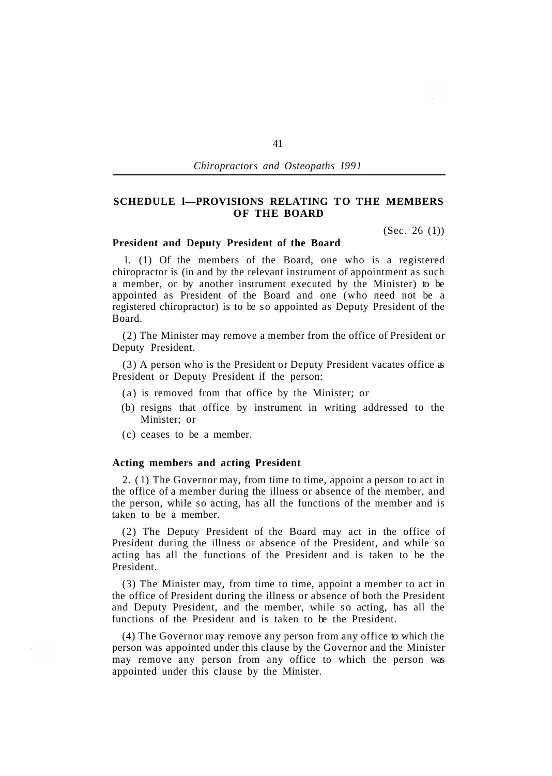# **SCHEDULE l—PROVISIONS RELATING TO THE MEMBERS OF THE BOARD**

(Sec. 26 (1))

#### **President and Deputy President of the Board**

1. (1) Of the members of the Board, one who is a registered chiropractor is (in and by the relevant instrument of appointment as such a member, or by another instrument executed by the Minister) to be appointed as President of the Board and one (who need not be a registered chiropractor) is to be so appointed as Deputy President of the Board.

(2) The Minister may remove a member from the office of President or Deputy President.

(3) A person who is the President or Deputy President vacates office as President or Deputy President if the person:

- (a) is removed from that office by the Minister; or
- (b) resigns that office by instrument in writing addressed to the Minister; or
- (c) ceases to be a member.

### **Acting members and acting President**

2. ( 1) The Governor may, from time to time, appoint a person to act in the office of a member during the illness or absence of the member, and the person, while so acting, has all the functions of the member and is taken to be a member.

(2) The Deputy President of the Board may act in the office of President during the illness or absence of the President, and while so acting has all the functions of the President and is taken to be the President.

(3) The Minister may, from time to time, appoint a member to act in the office of President during the illness or absence of both the President and Deputy President, and the member, while so acting, has all the functions of the President and is taken to be the President.

(4) The Governor may remove any person from any office to which the person was appointed under this clause by the Governor and the Minister may remove any person from any office to which the person was appointed under this clause by the Minister.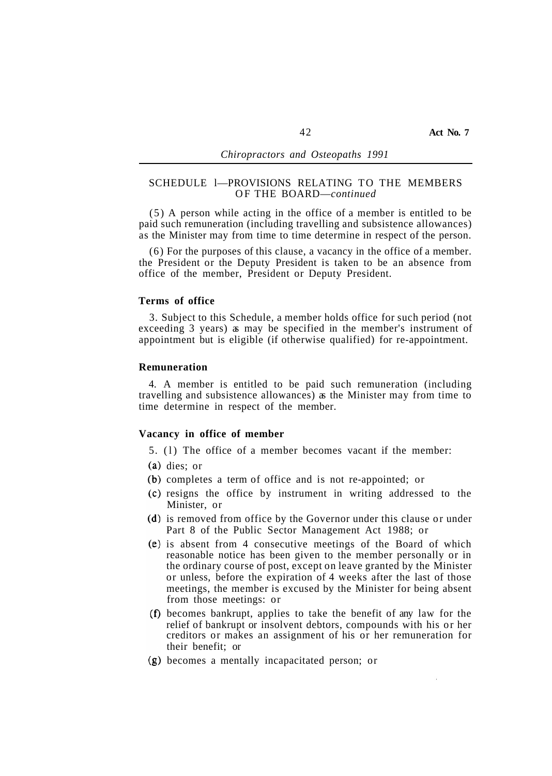# SCHEDULE l—PROVISIONS RELATING TO THE MEMBERS OF THE BOARD—*continued*

(5) A person while acting in the office of a member is entitled to be paid such remuneration (including travelling and subsistence allowances) as the Minister may from time to time determine in respect of the person.

(6) For the purposes of this clause, a vacancy in the office of a member. the President or the Deputy President is taken to be an absence from office of the member, President or Deputy President.

### **Terms of office**

3. Subject to this Schedule, a member holds office for such period (not exceeding 3 years) as may be specified in the member's instrument of appointment but is eligible (if otherwise qualified) for re-appointment.

# **Remuneration**

4. A member is entitled to be paid such remuneration (including travelling and subsistence allowances) as the Minister may from time to time determine in respect of the member.

#### **Vacancy in office of member**

- 5. (l) The office of a member becomes vacant if the member:
- (a) dies; or
- (b) completes a term of office and is not re-appointed; or
- (c) resigns the office by instrument in writing addressed to the Minister, or
- (d) is removed from office by the Governor under this clause or under Part 8 of the Public Sector Management Act 1988; or
- (e) is absent from 4 consecutive meetings of the Board of which reasonable notice has been given to the member personally or in the ordinary course of post, except on leave granted by the Minister or unless, before the expiration of 4 weeks after the last of those meetings, the member is excused by the Minister for being absent from those meetings: or
- $(f)$  becomes bankrupt, applies to take the benefit of any law for the relief of bankrupt or insolvent debtors, compounds with his or her creditors or makes an assignment of his or her remuneration for their benefit; or
- becomes a mentally incapacitated person; or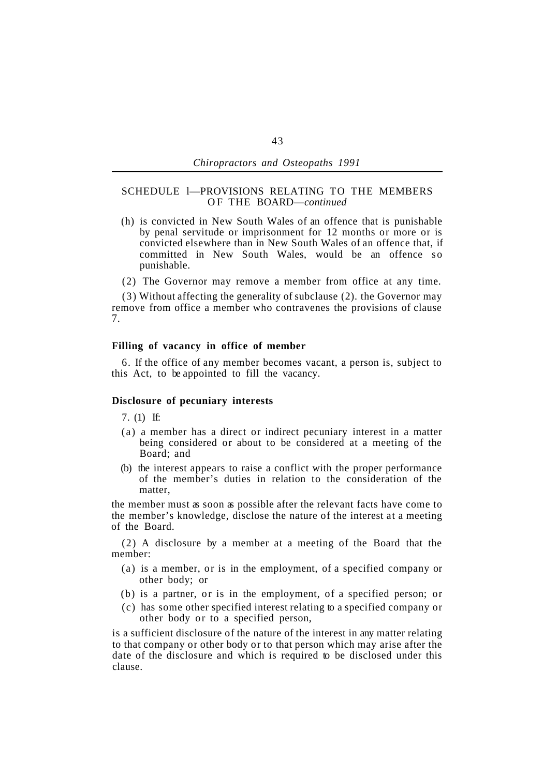### SCHEDULE l—PROVISIONS RELATING TO THE MEMBERS OF THE BOARD—*continued*

- (h) is convicted in New South Wales of an offence that is punishable by penal servitude or imprisonment for 12 months or more or is convicted elsewhere than in New South Wales of an offence that, if committed in New South Wales, would be an offence so punishable.
- (2) The Governor may remove a member from office at any time.

(3) Without affecting the generality of subclause (2). the Governor may remove from office a member who contravenes the provisions of clause 7.

### **Filling of vacancy in office of member**

6. If the office of any member becomes vacant, a person is, subject to this Act, to be appointed to fill the vacancy.

# **Disclosure of pecuniary interests**

7. (1) If:

- (a) a member has a direct or indirect pecuniary interest in a matter being considered or about to be considered at a meeting of the Board; and
- (b) the interest appears to raise a conflict with the proper performance of the member's duties in relation to the consideration of the matter,

the member must as soon as possible after the relevant facts have come to the member's knowledge, disclose the nature of the interest at a meeting of the Board.

(2) A disclosure by a member at a meeting of the Board that the member:

- (a) is a member, or is in the employment, of a specified company or other body; or
- (b) is a partner, or is in the employment, of a specified person; or
- (c) has some other specified interest relating to a specified company or other body or to a specified person,

is a sufficient disclosure of the nature of the interest in any matter relating to that company or other body or to that person which may arise after the date of the disclosure and which is required to be disclosed under this clause.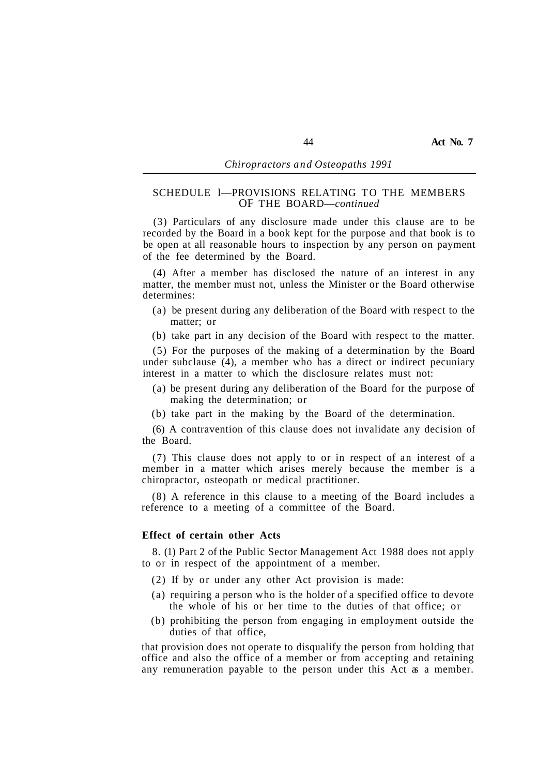# SCHEDULE l—PROVISIONS RELATING TO THE MEMBERS OF THE BOARD—*continued*

(3) Particulars of any disclosure made under this clause are to be recorded by the Board in a book kept for the purpose and that book is to be open at all reasonable hours to inspection by any person on payment of the fee determined by the Board.

(4) After a member has disclosed the nature of an interest in any matter, the member must not, unless the Minister or the Board otherwise determines:

- (a) be present during any deliberation of the Board with respect to the matter; or
- (b) take part in any decision of the Board with respect to the matter.

(5) For the purposes of the making of a determination by the Board under subclause  $(4)$ , a member who has a direct or indirect pecuniary interest in a matter to which the disclosure relates must not:

- (a) be present during any deliberation of the Board for the purpose of making the determination; or
- (b) take part in the making by the Board of the determination.

(6) A contravention of this clause does not invalidate any decision of the Board.

(7) This clause does not apply to or in respect of an interest of a member in a matter which arises merely because the member is a chiropractor, osteopath or medical practitioner.

(8) A reference in this clause to a meeting of the Board includes a reference to a meeting of a committee of the Board.

#### **Effect of certain other Acts**

to or in respect of the appointment of a member. 8. (1) Part 2 of the Public Sector Management Act 1988 does not apply

- (2) If by or under any other Act provision is made:
- (a) requiring a person who is the holder of a specified office to devote the whole of his or her time to the duties of that office; or
- (b) prohibiting the person from engaging in employment outside the duties of that office,

that provision does not operate to disqualify the person from holding that office and also the office of a member or from accepting and retaining any remuneration payable to the person under this Act as a member.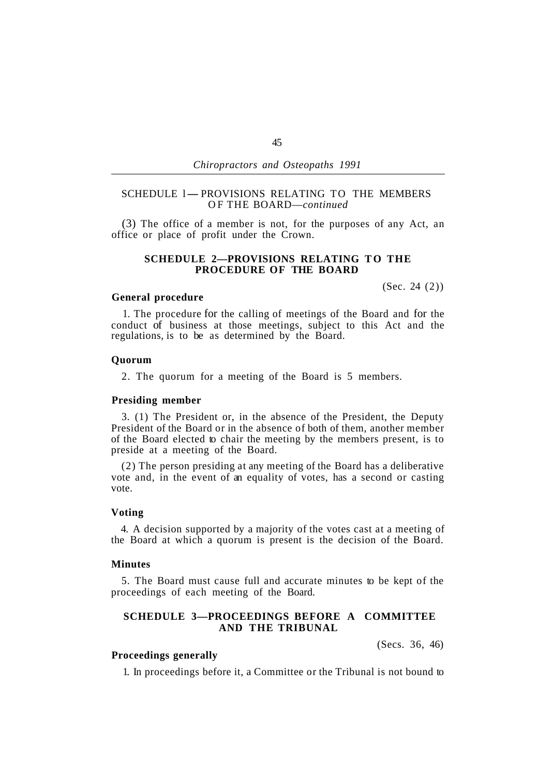# SCHEDULE 1- PROVISIONS RELATING TO THE MEMBERS OF THE BOARD—*continued*

(3) The office of a member is not, for the purposes of any Act, an office or place of profit under the Crown.

# **SCHEDULE 2—PROVISIONS RELATING TO THE PROCEDURE OF THE BOARD**

#### **General procedure**

(Sec. 24 (2))

1. The procedure for the calling of meetings of the Board and for the conduct of business at those meetings, subject to this Act and the regulations, is to be as determined by the Board.

### **Quorum**

2. The quorum for a meeting of the Board is 5 members.

# **Presiding member**

3. (1) The President or, in the absence of the President, the Deputy President of the Board or in the absence of both of them, another member of the Board elected to chair the meeting by the members present, is to preside at a meeting of the Board.

(2) The person presiding at any meeting of the Board has a deliberative vote and, in the event of an equality of votes, has a second or casting vote.

### **Voting**

4. A decision supported by a majority of the votes cast at a meeting of the Board at which a quorum is present is the decision of the Board.

## **Minutes**

proceedings of each meeting of the Board. 5. The Board must cause full and accurate minutes to be kept of the

# **SCHEDULE 3—PROCEEDINGS BEFORE A COMMITTEE AND THE TRIBUNAL**

(Secs. 36, 46)

# **Proceedings generally**

1. In proceedings before it, a Committee or the Tribunal is not bound to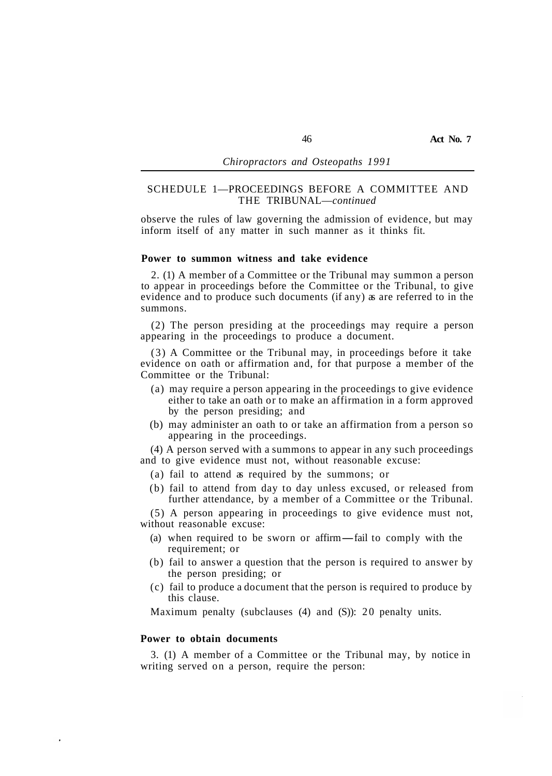## SCHEDULE 1—PROCEEDINGS BEFORE A COMMITTEE AND THE TRIBUNAL—*continued*

observe the rules of law governing the admission of evidence, but may inform itself of any matter in such manner as it thinks fit.

### **Power to summon witness and take evidence**

2. (1) A member of a Committee or the Tribunal may summon a person to appear in proceedings before the Committee or the Tribunal, to give evidence and to produce such documents (if any) as are referred to in the summons.

(2) The person presiding at the proceedings may require a person appearing in the proceedings to produce a document.

(3) A Committee or the Tribunal may, in proceedings before it take evidence on oath or affirmation and, for that purpose a member of the Committee or the Tribunal:

- (a) may require a person appearing in the proceedings to give evidence either to take an oath or to make an affirmation in a form approved by the person presiding; and
- (b) may administer an oath to or take an affirmation from a person so appearing in the proceedings.

(4) A person served with a summons to appear in any such proceedings and to give evidence must not, without reasonable excuse:

- (a) fail to attend as required by the summons; or
- (b) fail to attend from day to day unless excused, or released from further attendance, by a member of a Committee or the Tribunal.

(5) A person appearing in proceedings to give evidence must not, without reasonable excuse:

- (a) when required to be sworn or affirm—fail to comply with the requirement; or
- the person presiding; or (b) fail to answer a question that the person is required to answer by
- this clause. (c) fail to produce a document that the person is required to produce by

Maximum penalty (subclauses (4) and (S)): 20 penalty units.

### **Power to obtain documents**

writing served on a person, require the person: 3. (1) A member of a Committee or the Tribunal may, by notice in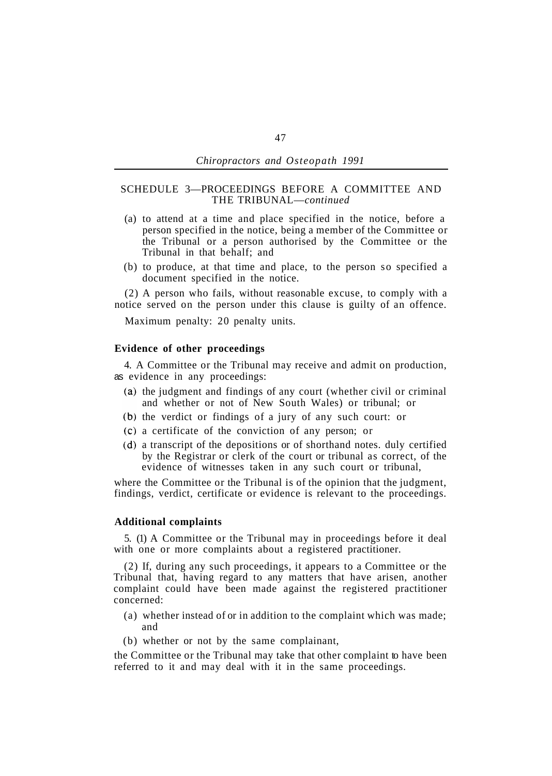### SCHEDULE 3—PROCEEDINGS BEFORE A COMMITTEE AND THE TRIBUNAL—*continued*

- (a) to attend at a time and place specified in the notice, before a person specified in the notice, being a member of the Committee or the Tribunal or a person authorised by the Committee or the Tribunal in that behalf; and
- (b) to produce, at that time and place, to the person so specified a document specified in the notice.

(2) A person who fails, without reasonable excuse, to comply with a notice served on the person under this clause is guilty of an offence.

Maximum penalty: 20 penalty units.

#### **Evidence of other proceedings**

as evidence in any proceedings: 4. A Committee or the Tribunal may receive and admit on production,

- $(a)$  the judgment and findings of any court (whether civil or criminal and whether or not of New South Wales) or tribunal; or
- $(b)$  the verdict or findings of a jury of any such court: or
- a certificate of the conviction of any person; or
- a transcript of the depositions or of shorthand notes. duly certified by the Registrar or clerk of the court or tribunal as correct, of the evidence of witnesses taken in any such court or tribunal,

where the Committee or the Tribunal is of the opinion that the judgment, findings, verdict, certificate or evidence is relevant to the proceedings.

#### **Additional complaints**

5. (1) A Committee or the Tribunal may in proceedings before it deal with one or more complaints about a registered practitioner.

(2) If, during any such proceedings, it appears to a Committee or the Tribunal that, having regard to any matters that have arisen, another complaint could have been made against the registered practitioner concerned:

- (a) whether instead of or in addition to the complaint which was made; and
- (b) whether or not by the same complainant,

the Committee or the Tribunal may take that other complaint to have been referred to it and may deal with it in the same proceedings.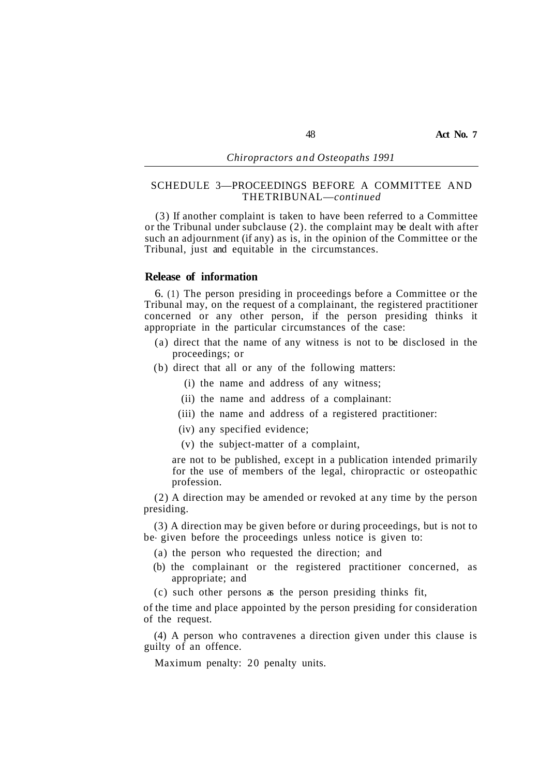# SCHEDULE 3—PROCEEDINGS BEFORE A COMMITTEE AND THE TRIBUNAL—*continued*

(3) If another complaint is taken to have been referred to a Committee or the Tribunal under subclause (2). the complaint may be dealt with after such an adjournment (if any) as is, in the opinion of the Committee or the Tribunal, just and equitable in the circumstances.

# **Release of information**

6. (1) The person presiding in proceedings before a Committee or the Tribunal may, on the request of a complainant, the registered practitioner concerned or any other person, if the person presiding thinks it appropriate in the particular circumstances of the case:

- (a) direct that the name of any witness is not to be disclosed in the proceedings; or
- (b) direct that all or any of the following matters:
	- (i) the name and address of any witness;
	- (ii) the name and address of a complainant:
	- (iii) the name and address of a registered practitioner:
	- (iv) any specified evidence;
	- (v) the subject-matter of a complaint,

are not to be published, except in a publication intended primarily for the use of members of the legal, chiropractic or osteopathic profession.

(2) A direction may be amended or revoked at any time by the person presiding.

(3) A direction may be given before or during proceedings, but is not to be- given before the proceedings unless notice is given to:

- (a) the person who requested the direction; and
- (b) the complainant or the registered practitioner concerned, as appropriate; and
- (c) such other persons as the person presiding thinks fit,

of the time and place appointed by the person presiding for consideration of the request.

(4) A person who contravenes a direction given under this clause is guilty of an offence.

Maximum penalty: 20 penalty units.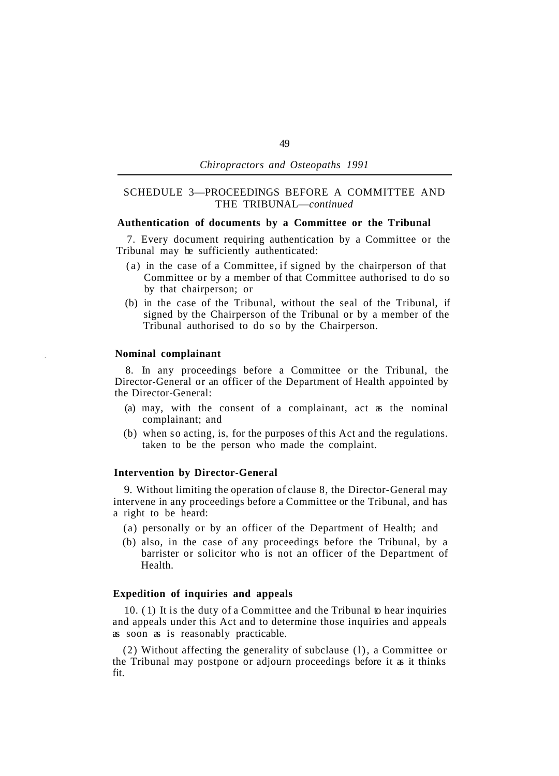# SCHEDULE 3—PROCEEDINGS BEFORE A COMMITTEE AND THE TRIBUNAL—*continued*

### **Authentication of documents by a Committee or the Tribunal**

Tribunal may be sufficiently authenticated: 7. Every document requiring authentication by a Committee or the

- (a) in the case of a Committee, if signed by the chairperson of that Committee or by a member of that Committee authorised to do so by that chairperson; or
- (b) in the case of the Tribunal, without the seal of the Tribunal, if signed by the Chairperson of the Tribunal or by a member of the Tribunal authorised to do so by the Chairperson.

### **Nominal complainant**

8. In any proceedings before a Committee or the Tribunal, the Director-General or an officer of the Department of Health appointed by the Director-General:

- (a) may, with the consent of a complainant, act as the nominal complainant; and
- (b) when so acting, is, for the purposes of this Act and the regulations. taken to be the person who made the complaint.

# **Intervention by Director-General**

9. Without limiting the operation of clause 8, the Director-General may intervene in any proceedings before a Committee or the Tribunal, and has a right to be heard:

- (a) personally or by an officer of the Department of Health; and
- (b) also, in the case of any proceedings before the Tribunal, by a barrister or solicitor who is not an officer of the Department of Health.

# **Expedition of inquiries and appeals**

10. ( 1) It is the duty of a Committee and the Tribunal to hear inquiries and appeals under this Act and to determine those inquiries and appeals as soon as is reasonably practicable.

(2) Without affecting the generality of subclause (l), a Committee or the Tribunal may postpone or adjourn proceedings before it as it thinks fit.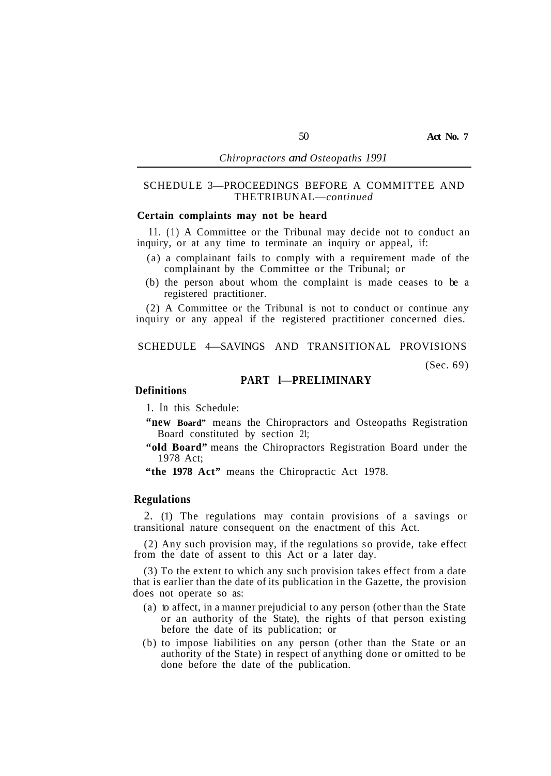# SCHEDULE 3—PROCEEDINGS BEFORE A COMMITTEE AND THE TRIBUNAL—*continued*

# **Certain complaints may not be heard**

inquiry, or at any time to terminate an inquiry or appeal, if: 11. (1) A Committee or the Tribunal may decide not to conduct an

- complainant by the Committee or the Tribunal; or (a) a complainant fails to comply with a requirement made of the
- registered practitioner. (b) the person about whom the complaint is made ceases to be a

(2) A Committee or the Tribunal is not to conduct or continue any inquiry or any appeal if the registered practitioner concerned dies.

# SCHEDULE 4—SAVINGS AND TRANSITIONAL PROVISIONS

(Sec. 69)

# **PART l—PRELIMINARY**

### **Definitions**

1. In this Schedule:

- **"new Board"** means the Chiropractors and Osteopaths Registration Board constituted by section 21;
- **"old Board"** means the Chiropractors Registration Board under the 1978 Act;
- **"the 1978 Act"** means the Chiropractic Act 1978.

### **Regulations**

2. (1) The regulations may contain provisions of a savings or transitional nature consequent on the enactment of this Act.

(2) Any such provision may, if the regulations so provide, take effect from the date of assent to this Act or a later day.

(3) To the extent to which any such provision takes effect from a date that is earlier than the date of its publication in the Gazette, the provision does not operate so as:

- (a) to affect, in a manner prejudicial to any person (other than the State or an authority of the State), the rights of that person existing before the date of its publication; or
- (b) to impose liabilities on any person (other than the State or an authority of the State) in respect of anything done or omitted to be done before the date of the publication.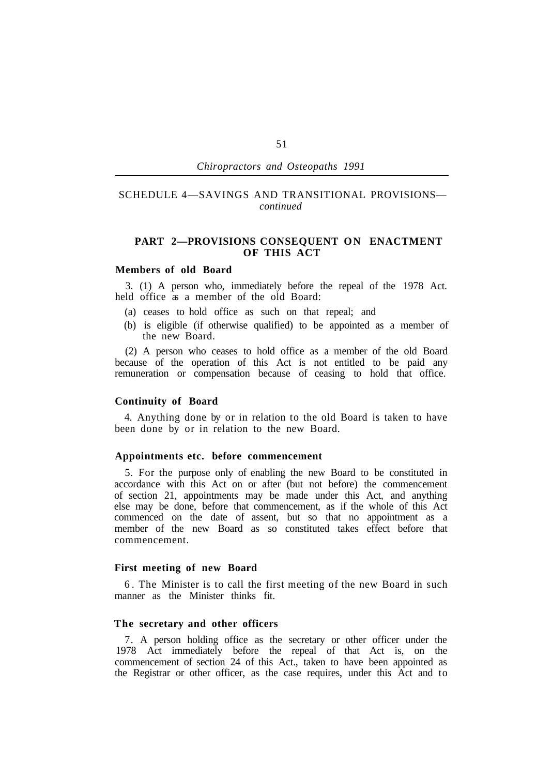# SCHEDULE 4—SAVINGS AND TRANSITIONAL PROVISIONS *continued*

# **PART 2—PROVISIONS CONSEQUENT ON ENACTMENT OF THIS ACT**

# **Members of old Board**

held office as a member of the old Board: 3. (1) A person who, immediately before the repeal of the 1978 Act.

- (a) ceases to hold office as such on that repeal; and
- (b) is eligible (if otherwise qualified) to be appointed as a member of the new Board.

(2) A person who ceases to hold office as a member of the old Board because of the operation of this Act is not entitled to be paid any remuneration or compensation because of ceasing to hold that office.

### **Continuity of Board**

been done by or in relation to the new Board. 4. Anything done by or in relation to the old Board is taken to have

### **Appointments etc. before commencement**

5. For the purpose only of enabling the new Board to be constituted in accordance with this Act on or after (but not before) the commencement of section 21, appointments may be made under this Act, and anything else may be done, before that commencement, as if the whole of this Act commenced on the date of assent, but so that no appointment as a member of the new Board as so constituted takes effect before that commencement.

### **First meeting of new Board**

manner as the Minister thinks fit. 6. The Minister is to call the first meeting of the new Board in such

## **The secretary and other officers**

7. A person holding office as the secretary or other officer under the 1978 Act immediately before the repeal of that Act is, on the commencement of section 24 of this Act., taken to have been appointed as the Registrar or other officer, as the case requires, under this Act and to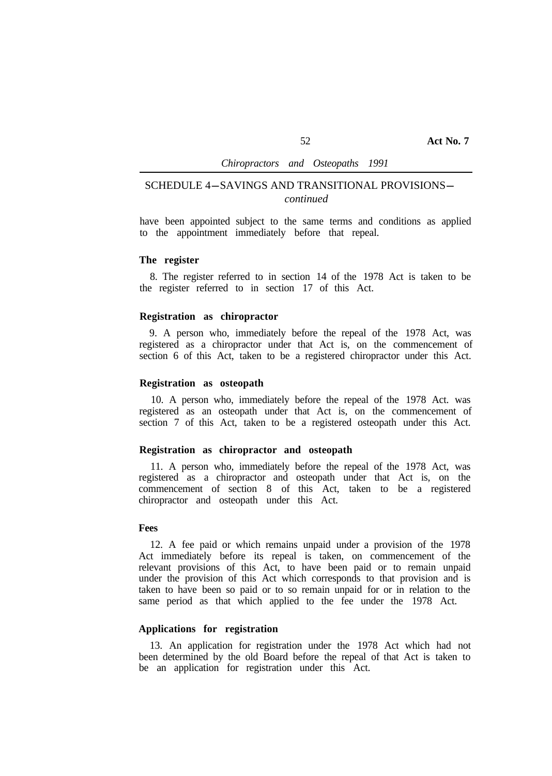# SCHEDULE 4-SAVINGS AND TRANSITIONAL PROVISIONS*continued*

have been appointed subject to the same terms and conditions as applied to the appointment immediately before that repeal.

### **The register**

the register referred to in section 17 of this Act. 8. The register referred to in section 14 of the 1978 Act is taken to be

# **Registration as chiropractor**

9. A person who, immediately before the repeal of the 1978 Act, was registered as a chiropractor under that Act is, on the commencement of section 6 of this Act, taken to be a registered chiropractor under this Act.

# **Registration as osteopath**

10. A person who, immediately before the repeal of the 1978 Act. was registered as an osteopath under that Act is, on the commencement of section 7 of this Act, taken to be a registered osteopath under this Act.

### **Registration as chiropractor and osteopath**

11. A person who, immediately before the repeal of the 1978 Act, was registered as a chiropractor and osteopath under that Act is, on the commencement of section 8 of this Act, taken to be a registered chiropractor and osteopath under this Act.

### **Fees**

12. A fee paid or which remains unpaid under a provision of the 1978 Act immediately before its repeal is taken, on commencement of the relevant provisions of this Act, to have been paid or to remain unpaid under the provision of this Act which corresponds to that provision and is taken to have been so paid or to so remain unpaid for or in relation to the same period as that which applied to the fee under the 1978 Act.

# **Applications for registration**

13. An application for registration under the 1978 Act which had not been determined by the old Board before the repeal of that Act is taken to be an application for registration under this Act.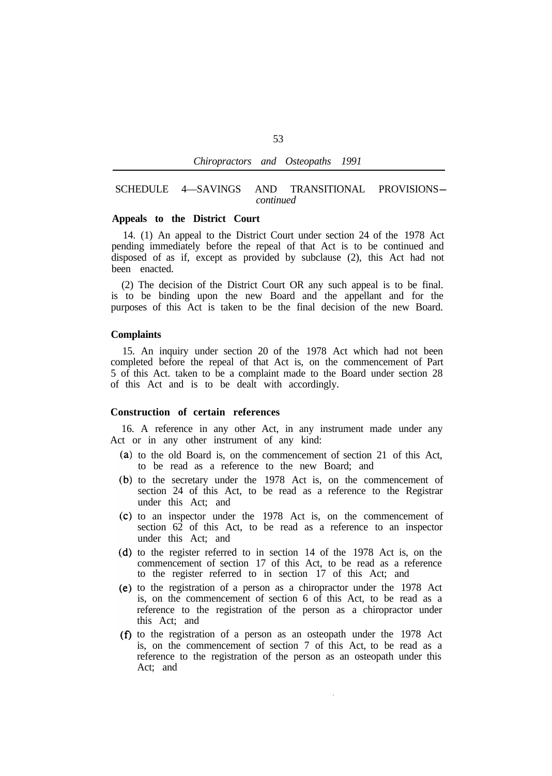| Chiropractors and |  | 1991<br>Osteopaths |  |
|-------------------|--|--------------------|--|
|-------------------|--|--------------------|--|

### SCHEDULE 4—SAVINGS AND TRANSITIONAL PROVISIONS*continued*

### **Appeals to the District Court**

14. (1) An appeal to the District Court under section 24 of the 1978 Act pending immediately before the repeal of that Act is to be continued and disposed of as if, except as provided by subclause (2), this Act had not been enacted.

(2) The decision of the District Court OR any such appeal is to be final. is to be binding upon the new Board and the appellant and for the purposes of this Act is taken to be the final decision of the new Board.

#### **Complaints**

15. An inquiry under section 20 of the 1978 Act which had not been completed before the repeal of that Act is, on the commencement of Part 5 of this Act. taken to be a complaint made to the Board under section 28 of this Act and is to be dealt with accordingly.

# **Construction of certain references**

16. A reference in any other Act, in any instrument made under any Act or in any other instrument of any kind:

- (a) to the old Board is, on the commencement of section 21 of this Act, to be read as a reference to the new Board; and
- (b) to the secretary under the 1978 Act is, on the commencement of section 24 of this Act, to be read as a reference to the Registrar under this Act; and
- (c) to an inspector under the 1978 Act is, on the commencement of section 62 of this Act, to be read as a reference to an inspector under this Act; and
- $(d)$  to the register referred to in section 14 of the 1978 Act is, on the commencement of section 17 of this Act, to be read as a reference to the register referred to in section 17 of this Act; and
- $(e)$  to the registration of a person as a chiropractor under the 1978 Act is, on the commencement of section 6 of this Act, to be read as a reference to the registration of the person as a chiropractor under this Act; and
- $(f)$  to the registration of a person as an osteopath under the 1978 Act is, on the commencement of section 7 of this Act, to be read as a reference to the registration of the person as an osteopath under this Act; and